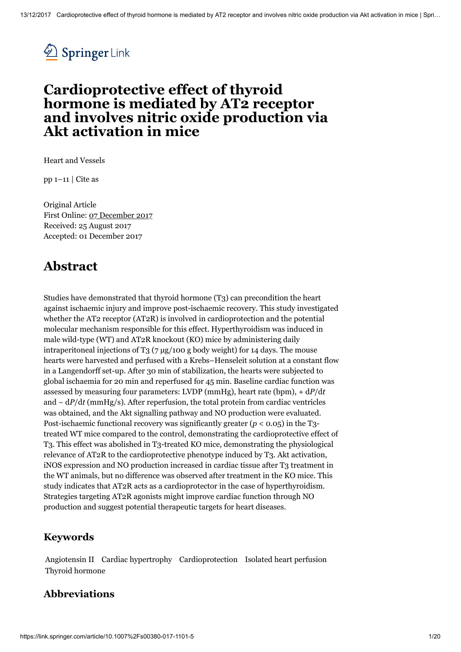

## Cardioprotective effect of thyroid hormone is mediated by AT2 receptor and involves nitric oxide production via Akt activation in mice

Heart and [Vessels](https://link.springer.com/journal/380)

pp 1–11 | [Cite](#page-19-0) as

<span id="page-0-0"></span>Original Article First Online: 07 [December](#page-0-0) 2017 Received: 25 August 2017 Accepted: 01 December 2017

## Abstract

Studies have demonstrated that thyroid hormone (T3) can precondition the heart against ischaemic injury and improve post-ischaemic recovery. This study investigated whether the AT2 receptor (AT2R) is involved in cardioprotection and the potential molecular mechanism responsible for this effect. Hyperthyroidism was induced in male wild-type (WT) and AT2R knockout (KO) mice by administering daily intraperitoneal injections of T<sub>3</sub> ( $7 \text{ µg}/100 \text{ g}$  body weight) for 14 days. The mouse hearts were harvested and perfused with a Krebs–Henseleit solution at a constant flow in a Langendorff set-up. After 30 min of stabilization, the hearts were subjected to global ischaemia for 20 min and reperfused for 45 min. Baseline cardiac function was assessed by measuring four parameters: LVDP (mmHg), heart rate (bpm), + d*P*/d*t* and − d*P*/d*t* (mmHg/s). After reperfusion, the total protein from cardiac ventricles was obtained, and the Akt signalling pathway and NO production were evaluated. Post-ischaemic functional recovery was significantly greater (*p* < 0.05) in the T3 treated WT mice compared to the control, demonstrating the cardioprotective effect of T3. This effect was abolished in T3-treated KO mice, demonstrating the physiological relevance of AT2R to the cardioprotective phenotype induced by T3. Akt activation, iNOS expression and NO production increased in cardiac tissue after T3 treatment in the WT animals, but no difference was observed after treatment in the KO mice. This study indicates that AT2R acts as a cardioprotector in the case of hyperthyroidism. Strategies targeting AT2R agonists might improve cardiac function through NO production and suggest potential therapeutic targets for heart diseases.

## Keywords

Angiotensin II Cardiac hypertrophy Cardioprotection Isolated heart perfusion Thyroid hormone

## Abbreviations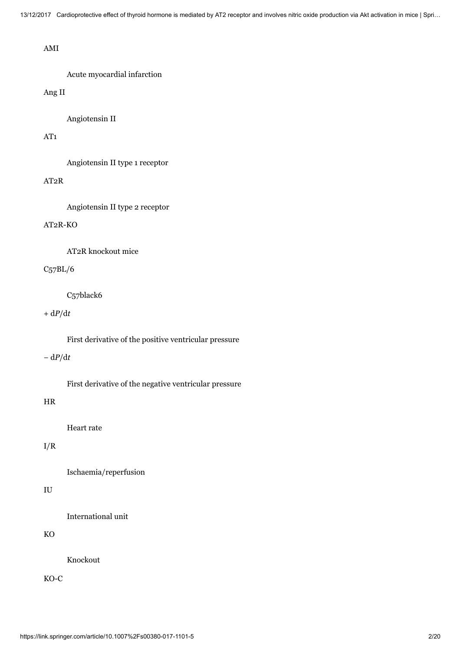#### AMI

Acute myocardial infarction

#### Ang II

Angiotensin II

#### AT1

Angiotensin II type 1 receptor

#### AT2R

Angiotensin II type 2 receptor

#### AT2R-KO

AT2R knockout mice

#### C57BL/6

C57black6

#### + d*P*/d*t*

First derivative of the positive ventricular pressure

#### − d*P*/d*t*

First derivative of the negative ventricular pressure

#### HR

Heart rate

#### I/R

Ischaemia/reperfusion

#### IU

International unit

#### KO

Knockout

KO-C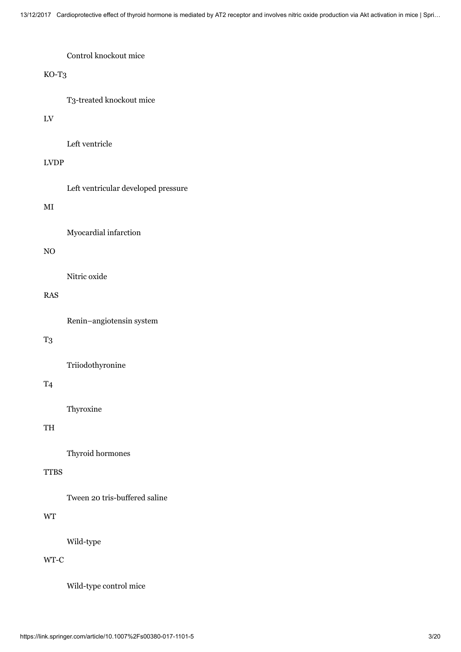#### Control knockout mice

#### KO-T3

T3-treated knockout mice

#### LV

Left ventricle

#### LVDP

Left ventricular developed pressure

#### MI

Myocardial infarction

#### NO

Nitric oxide

#### RAS

Renin–angiotensin system

#### T3

Triiodothyronine

## T4

Thyroxine

### TH

Thyroid hormones

#### **TTBS**

Tween 20 tris-buffered saline

### WT

Wild-type

### WT-C

Wild-type control mice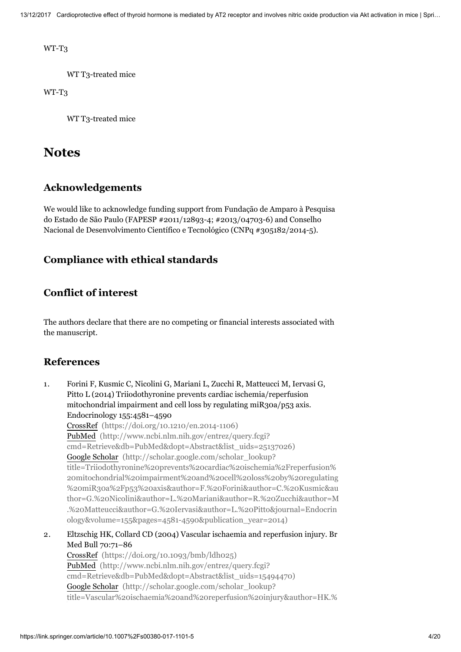WT-T3

WT T3-treated mice

WT-T3

WT T3-treated mice

## **Notes**

## Acknowledgements

We would like to acknowledge funding support from Fundação de Amparo à Pesquisa do Estado de São Paulo (FAPESP #2011/12893-4; #2013/04703-6) and Conselho Nacional de Desenvolvimento Científico e Tecnológico (CNPq #305182/2014-5).

## Compliance with ethical standards

## Conflict of interest

The authors declare that there are no competing or financial interests associated with the manuscript.

## References

- 1. Forini F, Kusmic C, Nicolini G, Mariani L, Zucchi R, Matteucci M, Iervasi G, Pitto L (2014) Triiodothyronine prevents cardiac ischemia/reperfusion mitochondrial impairment and cell loss by regulating miR30a/p53 axis. Endocrinology 155:4581–4590 CrossRef [\(https://doi.org/10.1210/en.2014-1106\)](https://doi.org/10.1210/en.2014-1106) PubMed (http://www.ncbi.nlm.nih.gov/entrez/query.fcgi? [cmd=Retrieve&db=PubMed&dopt=Abstract&list\\_uids=25137026\)](http://www.ncbi.nlm.nih.gov/entrez/query.fcgi?cmd=Retrieve&db=PubMed&dopt=Abstract&list_uids=25137026) Google Scholar (http://scholar.google.com/scholar\_lookup? title=Triiodothyronine%20prevents%20cardiac%20ischemia%2Freperfusion% 20mitochondrial%20impairment%20and%20cell%20loss%20by%20regulating %20miR30a%2Fp53%20axis&author=F.%20Forini&author=C.%20Kusmic&au [thor=G.%20Nicolini&author=L.%20Mariani&author=R.%20Zucchi&author=M](http://scholar.google.com/scholar_lookup?title=Triiodothyronine%20prevents%20cardiac%20ischemia%2Freperfusion%20mitochondrial%20impairment%20and%20cell%20loss%20by%20regulating%20miR30a%2Fp53%20axis&author=F.%20Forini&author=C.%20Kusmic&author=G.%20Nicolini&author=L.%20Mariani&author=R.%20Zucchi&author=M.%20Matteucci&author=G.%20Iervasi&author=L.%20Pitto&journal=Endocrinology&volume=155&pages=4581-4590&publication_year=2014) .%20Matteucci&author=G.%20Iervasi&author=L.%20Pitto&journal=Endocrin ology&volume=155&pages=4581-4590&publication\_year=2014)
- 2. Eltzschig HK, Collard CD (2004) Vascular ischaemia and reperfusion injury. Br Med Bull 70:71–86

CrossRef [\(https://doi.org/10.1093/bmb/ldh025\)](https://doi.org/10.1093/bmb/ldh025) PubMed (http://www.ncbi.nlm.nih.gov/entrez/query.fcgi? [cmd=Retrieve&db=PubMed&dopt=Abstract&list\\_uids=15494470\)](http://www.ncbi.nlm.nih.gov/entrez/query.fcgi?cmd=Retrieve&db=PubMed&dopt=Abstract&list_uids=15494470) Google Scholar (http://scholar.google.com/scholar\_lookup? [title=Vascular%20ischaemia%20and%20reperfusion%20injury&author=HK.%](http://scholar.google.com/scholar_lookup?title=Vascular%20ischaemia%20and%20reperfusion%20injury&author=HK.%20Eltzschig&author=CD.%20Collard&journal=Br%20Med%20Bull&volume=70&pages=71-86&publication_year=2004)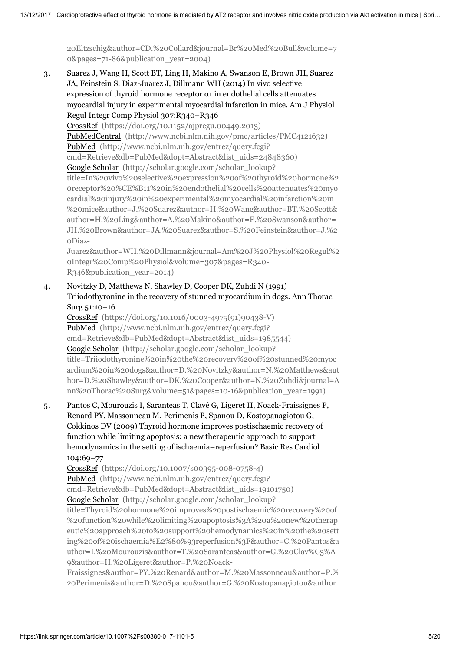[20Eltzschig&author=CD.%20Collard&journal=Br%20Med%20Bull&volume=7](http://scholar.google.com/scholar_lookup?title=Vascular%20ischaemia%20and%20reperfusion%20injury&author=HK.%20Eltzschig&author=CD.%20Collard&journal=Br%20Med%20Bull&volume=70&pages=71-86&publication_year=2004) 0&pages=71-86&publication\_year=2004)

3. Suarez J, Wang H, Scott BT, Ling H, Makino A, Swanson E, Brown JH, Suarez JA, Feinstein S, Diaz-Juarez J, Dillmann WH (2014) In vivo selective expression of thyroid hormone receptor α1 in endothelial cells attenuates myocardial injury in experimental myocardial infarction in mice. Am J Physiol Regul Integr Comp Physiol 307:R340–R346

CrossRef [\(https://doi.org/10.1152/ajpregu.00449.2013\)](https://doi.org/10.1152/ajpregu.00449.2013) PubMedCentral [\(http://www.ncbi.nlm.nih.gov/pmc/articles/PMC4121632\)](http://www.ncbi.nlm.nih.gov/pmc/articles/PMC4121632) PubMed (http://www.ncbi.nlm.nih.gov/entrez/query.fcgi? [cmd=Retrieve&db=PubMed&dopt=Abstract&list\\_uids=24848360\)](http://www.ncbi.nlm.nih.gov/entrez/query.fcgi?cmd=Retrieve&db=PubMed&dopt=Abstract&list_uids=24848360) Google Scholar (http://scholar.google.com/scholar\_lookup? title=In%20vivo%20selective%20expression%20of%20thyroid%20hormone%2 0receptor%20%CE%B11%20in%20endothelial%20cells%20attenuates%20myo cardial%20injury%20in%20experimental%20myocardial%20infarction%20in %20mice&author=J.%20Suarez&author=H.%20Wang&author=BT.%20Scott& author=H.%20Ling&author=A.%20Makino&author=E.%20Swanson&author= JH.%20Brown&author=JA.%20Suarez&author=S.%20Feinstein&author=J.%2 0Diaz-

[Juarez&author=WH.%20Dillmann&journal=Am%20J%20Physiol%20Regul%2](http://scholar.google.com/scholar_lookup?title=In%20vivo%20selective%20expression%20of%20thyroid%20hormone%20receptor%20%CE%B11%20in%20endothelial%20cells%20attenuates%20myocardial%20injury%20in%20experimental%20myocardial%20infarction%20in%20mice&author=J.%20Suarez&author=H.%20Wang&author=BT.%20Scott&author=H.%20Ling&author=A.%20Makino&author=E.%20Swanson&author=JH.%20Brown&author=JA.%20Suarez&author=S.%20Feinstein&author=J.%20Diaz-Juarez&author=WH.%20Dillmann&journal=Am%20J%20Physiol%20Regul%20Integr%20Comp%20Physiol&volume=307&pages=R340-R346&publication_year=2014) 0Integr%20Comp%20Physiol&volume=307&pages=R340- R346&publication\_year=2014)

4. Novitzky D, Matthews N, Shawley D, Cooper DK, Zuhdi N (1991) Triiodothyronine in the recovery of stunned myocardium in dogs. Ann Thorac Surg 51:10–16

CrossRef [\(https://doi.org/10.1016/0003-4975\(91\)90438-V\)](https://doi.org/10.1016/0003-4975(91)90438-V) PubMed (http://www.ncbi.nlm.nih.gov/entrez/query.fcgi? [cmd=Retrieve&db=PubMed&dopt=Abstract&list\\_uids=1985544\)](http://www.ncbi.nlm.nih.gov/entrez/query.fcgi?cmd=Retrieve&db=PubMed&dopt=Abstract&list_uids=1985544) Google Scholar (http://scholar.google.com/scholar\_lookup? title=Triiodothyronine%20in%20the%20recovery%20of%20stunned%20myoc [ardium%20in%20dogs&author=D.%20Novitzky&author=N.%20Matthews&aut](http://scholar.google.com/scholar_lookup?title=Triiodothyronine%20in%20the%20recovery%20of%20stunned%20myocardium%20in%20dogs&author=D.%20Novitzky&author=N.%20Matthews&author=D.%20Shawley&author=DK.%20Cooper&author=N.%20Zuhdi&journal=Ann%20Thorac%20Surg&volume=51&pages=10-16&publication_year=1991) hor=D.%20Shawley&author=DK.%20Cooper&author=N.%20Zuhdi&journal=A nn%20Thorac%20Surg&volume=51&pages=10-16&publication\_year=1991)

5. Pantos C, Mourouzis I, Saranteas T, Clavé G, Ligeret H, Noack-Fraissignes P, Renard PY, Massonneau M, Perimenis P, Spanou D, Kostopanagiotou G, Cokkinos DV (2009) Thyroid hormone improves postischaemic recovery of function while limiting apoptosis: a new therapeutic approach to support hemodynamics in the setting of ischaemia–reperfusion? Basic Res Cardiol 104:69–77

CrossRef [\(https://doi.org/10.1007/s00395-008-0758-4\)](https://doi.org/10.1007/s00395-008-0758-4) PubMed (http://www.ncbi.nlm.nih.gov/entrez/query.fcgi? [cmd=Retrieve&db=PubMed&dopt=Abstract&list\\_uids=19101750\)](http://www.ncbi.nlm.nih.gov/entrez/query.fcgi?cmd=Retrieve&db=PubMed&dopt=Abstract&list_uids=19101750) Google Scholar (http://scholar.google.com/scholar\_lookup? title=Thyroid%20hormone%20improves%20postischaemic%20recovery%20of %20function%20while%20limiting%20apoptosis%3A%20a%20new%20therap eutic%20approach%20to%20support%20hemodynamics%20in%20the%20sett [ing%20of%20ischaemia%E2%80%93reperfusion%3F&author=C.%20Pantos&a](http://scholar.google.com/scholar_lookup?title=Thyroid%20hormone%20improves%20postischaemic%20recovery%20of%20function%20while%20limiting%20apoptosis%3A%20a%20new%20therapeutic%20approach%20to%20support%20hemodynamics%20in%20the%20setting%20of%20ischaemia%E2%80%93reperfusion%3F&author=C.%20Pantos&author=I.%20Mourouzis&author=T.%20Saranteas&author=G.%20Clav%C3%A9&author=H.%20Ligeret&author=P.%20Noack-Fraissignes&author=PY.%20Renard&author=M.%20Massonneau&author=P.%20Perimenis&author=D.%20Spanou&author=G.%20Kostopanagiotou&author=DV.%20Cokkinos&journal=Basic%20Res%20Cardiol&volume=104&pages=69-77&publication_year=2009) uthor=I.%20Mourouzis&author=T.%20Saranteas&author=G.%20Clav%C3%A 9&author=H.%20Ligeret&author=P.%20Noack-

Fraissignes&author=PY.%20Renard&author=M.%20Massonneau&author=P.% 20Perimenis&author=D.%20Spanou&author=G.%20Kostopanagiotou&author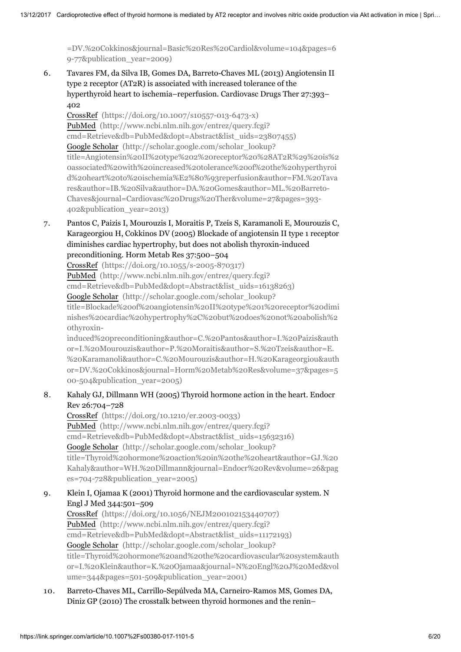[=DV.%20Cokkinos&journal=Basic%20Res%20Cardiol&volume=104&pages=6](http://scholar.google.com/scholar_lookup?title=Thyroid%20hormone%20improves%20postischaemic%20recovery%20of%20function%20while%20limiting%20apoptosis%3A%20a%20new%20therapeutic%20approach%20to%20support%20hemodynamics%20in%20the%20setting%20of%20ischaemia%E2%80%93reperfusion%3F&author=C.%20Pantos&author=I.%20Mourouzis&author=T.%20Saranteas&author=G.%20Clav%C3%A9&author=H.%20Ligeret&author=P.%20Noack-Fraissignes&author=PY.%20Renard&author=M.%20Massonneau&author=P.%20Perimenis&author=D.%20Spanou&author=G.%20Kostopanagiotou&author=DV.%20Cokkinos&journal=Basic%20Res%20Cardiol&volume=104&pages=69-77&publication_year=2009) 9-77&publication\_year=2009)

6. Tavares FM, da Silva IB, Gomes DA, Barreto-Chaves ML (2013) Angiotensin II type 2 receptor (AT2R) is associated with increased tolerance of the hyperthyroid heart to ischemia–reperfusion. Cardiovasc Drugs Ther 27:393– 402

CrossRef [\(https://doi.org/10.1007/s10557-013-6473-x\)](https://doi.org/10.1007/s10557-013-6473-x) PubMed (http://www.ncbi.nlm.nih.gov/entrez/query.fcgi? [cmd=Retrieve&db=PubMed&dopt=Abstract&list\\_uids=23807455\)](http://www.ncbi.nlm.nih.gov/entrez/query.fcgi?cmd=Retrieve&db=PubMed&dopt=Abstract&list_uids=23807455) Google Scholar (http://scholar.google.com/scholar\_lookup? [title=Angiotensin%20II%20type%202%20receptor%20%28AT2R%29%20is%2](http://scholar.google.com/scholar_lookup?title=Angiotensin%20II%20type%202%20receptor%20%28AT2R%29%20is%20associated%20with%20increased%20tolerance%20of%20the%20hyperthyroid%20heart%20to%20ischemia%E2%80%93reperfusion&author=FM.%20Tavares&author=IB.%20Silva&author=DA.%20Gomes&author=ML.%20Barreto-Chaves&journal=Cardiovasc%20Drugs%20Ther&volume=27&pages=393-402&publication_year=2013) 0associated%20with%20increased%20tolerance%20of%20the%20hyperthyroi d%20heart%20to%20ischemia%E2%80%93reperfusion&author=FM.%20Tava res&author=IB.%20Silva&author=DA.%20Gomes&author=ML.%20Barreto-Chaves&journal=Cardiovasc%20Drugs%20Ther&volume=27&pages=393- 402&publication\_year=2013)

7. Pantos C, Paizis I, Mourouzis I, Moraitis P, Tzeis S, Karamanoli E, Mourouzis C, Karageorgiou H, Cokkinos DV (2005) Blockade of angiotensin II type 1 receptor diminishes cardiac hypertrophy, but does not abolish thyroxin-induced preconditioning. Horm Metab Res 37:500–504

CrossRef [\(https://doi.org/10.1055/s-2005-870317\)](https://doi.org/10.1055/s-2005-870317)

PubMed (http://www.ncbi.nlm.nih.gov/entrez/query.fcgi? [cmd=Retrieve&db=PubMed&dopt=Abstract&list\\_uids=16138263\)](http://www.ncbi.nlm.nih.gov/entrez/query.fcgi?cmd=Retrieve&db=PubMed&dopt=Abstract&list_uids=16138263)

Google Scholar (http://scholar.google.com/scholar\_lookup?

[title=Blockade%20of%20angiotensin%20II%20type%201%20receptor%20dimi](http://scholar.google.com/scholar_lookup?title=Blockade%20of%20angiotensin%20II%20type%201%20receptor%20diminishes%20cardiac%20hypertrophy%2C%20but%20does%20not%20abolish%20thyroxin-induced%20preconditioning&author=C.%20Pantos&author=I.%20Paizis&author=I.%20Mourouzis&author=P.%20Moraitis&author=S.%20Tzeis&author=E.%20Karamanoli&author=C.%20Mourouzis&author=H.%20Karageorgiou&author=DV.%20Cokkinos&journal=Horm%20Metab%20Res&volume=37&pages=500-504&publication_year=2005) nishes%20cardiac%20hypertrophy%2C%20but%20does%20not%20abolish%2 0thyroxin-

induced%20preconditioning&author=C.%20Pantos&author=I.%20Paizis&auth or=I.%20Mourouzis&author=P.%20Moraitis&author=S.%20Tzeis&author=E. %20Karamanoli&author=C.%20Mourouzis&author=H.%20Karageorgiou&auth or=DV.%20Cokkinos&journal=Horm%20Metab%20Res&volume=37&pages=5 00-504&publication\_year=2005)

#### 8. Kahaly GJ, Dillmann WH (2005) Thyroid hormone action in the heart. Endocr Rev 26:704–728

CrossRef [\(https://doi.org/10.1210/er.2003-0033\)](https://doi.org/10.1210/er.2003-0033) PubMed (http://www.ncbi.nlm.nih.gov/entrez/query.fcgi? [cmd=Retrieve&db=PubMed&dopt=Abstract&list\\_uids=15632316\)](http://www.ncbi.nlm.nih.gov/entrez/query.fcgi?cmd=Retrieve&db=PubMed&dopt=Abstract&list_uids=15632316) Google Scholar (http://scholar.google.com/scholar\_lookup? title=Thyroid%20hormone%20action%20in%20the%20heart&author=GJ.%20 [Kahaly&author=WH.%20Dillmann&journal=Endocr%20Rev&volume=26&pag](http://scholar.google.com/scholar_lookup?title=Thyroid%20hormone%20action%20in%20the%20heart&author=GJ.%20Kahaly&author=WH.%20Dillmann&journal=Endocr%20Rev&volume=26&pages=704-728&publication_year=2005) es=704-728&publication\_year=2005)

9. Klein I, Ojamaa K (2001) Thyroid hormone and the cardiovascular system. N Engl J Med 344:501–509

CrossRef [\(https://doi.org/10.1056/NEJM200102153440707\)](https://doi.org/10.1056/NEJM200102153440707) PubMed (http://www.ncbi.nlm.nih.gov/entrez/query.fcgi? [cmd=Retrieve&db=PubMed&dopt=Abstract&list\\_uids=11172193\)](http://www.ncbi.nlm.nih.gov/entrez/query.fcgi?cmd=Retrieve&db=PubMed&dopt=Abstract&list_uids=11172193) Google Scholar (http://scholar.google.com/scholar\_lookup? [title=Thyroid%20hormone%20and%20the%20cardiovascular%20system&auth](http://scholar.google.com/scholar_lookup?title=Thyroid%20hormone%20and%20the%20cardiovascular%20system&author=I.%20Klein&author=K.%20Ojamaa&journal=N%20Engl%20J%20Med&volume=344&pages=501-509&publication_year=2001) or=I.%20Klein&author=K.%20Ojamaa&journal=N%20Engl%20J%20Med&vol ume=344&pages=501-509&publication\_year=2001)

10. Barreto-Chaves ML, Carrillo-Sepúlveda MA, Carneiro-Ramos MS, Gomes DA, Diniz GP (2010) The crosstalk between thyroid hormones and the renin–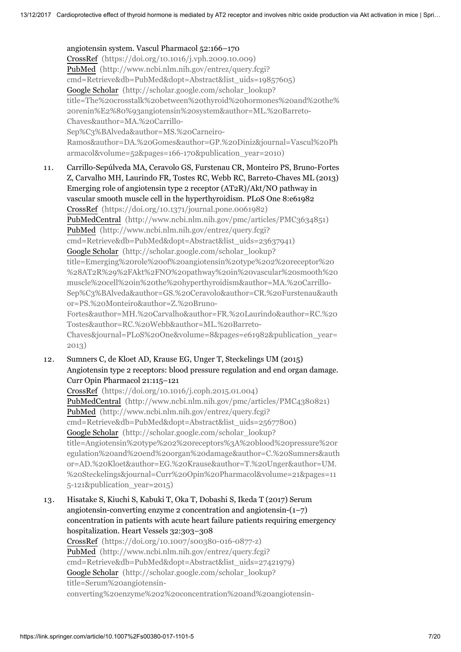angiotensin system. Vascul Pharmacol 52:166–170 CrossRef [\(https://doi.org/10.1016/j.vph.2009.10.009\)](https://doi.org/10.1016/j.vph.2009.10.009) PubMed (http://www.ncbi.nlm.nih.gov/entrez/query.fcgi? [cmd=Retrieve&db=PubMed&dopt=Abstract&list\\_uids=19857605\)](http://www.ncbi.nlm.nih.gov/entrez/query.fcgi?cmd=Retrieve&db=PubMed&dopt=Abstract&list_uids=19857605) Google Scholar (http://scholar.google.com/scholar\_lookup? [title=The%20crosstalk%20between%20thyroid%20hormones%20and%20the%](http://scholar.google.com/scholar_lookup?title=The%20crosstalk%20between%20thyroid%20hormones%20and%20the%20renin%E2%80%93angiotensin%20system&author=ML.%20Barreto-Chaves&author=MA.%20Carrillo-Sep%C3%BAlveda&author=MS.%20Carneiro-Ramos&author=DA.%20Gomes&author=GP.%20Diniz&journal=Vascul%20Pharmacol&volume=52&pages=166-170&publication_year=2010) 20renin%E2%80%93angiotensin%20system&author=ML.%20Barreto-Chaves&author=MA.%20Carrillo-Sep%C3%BAlveda&author=MS.%20Carneiro-Ramos&author=DA.%20Gomes&author=GP.%20Diniz&journal=Vascul%20Ph armacol&volume=52&pages=166-170&publication\_year=2010)

11. Carrillo-Sepúlveda MA, Ceravolo GS, Furstenau CR, Monteiro PS, Bruno-Fortes Z, Carvalho MH, Laurindo FR, Tostes RC, Webb RC, Barreto-Chaves ML (2013) Emerging role of angiotensin type 2 receptor (AT2R)/Akt/NO pathway in vascular smooth muscle cell in the hyperthyroidism. PLoS One 8:e61982 CrossRef [\(https://doi.org/10.1371/journal.pone.0061982\)](https://doi.org/10.1371/journal.pone.0061982) PubMedCentral [\(http://www.ncbi.nlm.nih.gov/pmc/articles/PMC3634851\)](http://www.ncbi.nlm.nih.gov/pmc/articles/PMC3634851) PubMed (http://www.ncbi.nlm.nih.gov/entrez/query.fcgi? [cmd=Retrieve&db=PubMed&dopt=Abstract&list\\_uids=23637941\)](http://www.ncbi.nlm.nih.gov/entrez/query.fcgi?cmd=Retrieve&db=PubMed&dopt=Abstract&list_uids=23637941) Google Scholar (http://scholar.google.com/scholar\_lookup? title=Emerging%20role%20of%20angiotensin%20type%202%20receptor%20 [%28AT2R%29%2FAkt%2FNO%20pathway%20in%20vascular%20smooth%20](http://scholar.google.com/scholar_lookup?title=Emerging%20role%20of%20angiotensin%20type%202%20receptor%20%28AT2R%29%2FAkt%2FNO%20pathway%20in%20vascular%20smooth%20muscle%20cell%20in%20the%20hyperthyroidism&author=MA.%20Carrillo-Sep%C3%BAlveda&author=GS.%20Ceravolo&author=CR.%20Furstenau&author=PS.%20Monteiro&author=Z.%20Bruno-Fortes&author=MH.%20Carvalho&author=FR.%20Laurindo&author=RC.%20Tostes&author=RC.%20Webb&author=ML.%20Barreto-Chaves&journal=PLoS%20One&volume=8&pages=e61982&publication_year=2013) muscle%20cell%20in%20the%20hyperthyroidism&author=MA.%20Carrillo-Sep%C3%BAlveda&author=GS.%20Ceravolo&author=CR.%20Furstenau&auth or=PS.%20Monteiro&author=Z.%20Bruno-Fortes&author=MH.%20Carvalho&author=FR.%20Laurindo&author=RC.%20 Tostes&author=RC.%20Webb&author=ML.%20Barreto-Chaves&journal=PLoS%20One&volume=8&pages=e61982&publication\_year= 2013)

12. Sumners C, de Kloet AD, Krause EG, Unger T, Steckelings UM (2015) Angiotensin type 2 receptors: blood pressure regulation and end organ damage. Curr Opin Pharmacol 21:115–121

CrossRef [\(https://doi.org/10.1016/j.coph.2015.01.004\)](https://doi.org/10.1016/j.coph.2015.01.004) PubMedCentral [\(http://www.ncbi.nlm.nih.gov/pmc/articles/PMC4380821\)](http://www.ncbi.nlm.nih.gov/pmc/articles/PMC4380821) PubMed (http://www.ncbi.nlm.nih.gov/entrez/query.fcgi? [cmd=Retrieve&db=PubMed&dopt=Abstract&list\\_uids=25677800\)](http://www.ncbi.nlm.nih.gov/entrez/query.fcgi?cmd=Retrieve&db=PubMed&dopt=Abstract&list_uids=25677800) Google Scholar (http://scholar.google.com/scholar\_lookup? title=Angiotensin%20type%202%20receptors%3A%20blood%20pressure%20r [egulation%20and%20end%20organ%20damage&author=C.%20Sumners&auth](http://scholar.google.com/scholar_lookup?title=Angiotensin%20type%202%20receptors%3A%20blood%20pressure%20regulation%20and%20end%20organ%20damage&author=C.%20Sumners&author=AD.%20Kloet&author=EG.%20Krause&author=T.%20Unger&author=UM.%20Steckelings&journal=Curr%20Opin%20Pharmacol&volume=21&pages=115-121&publication_year=2015) or=AD.%20Kloet&author=EG.%20Krause&author=T.%20Unger&author=UM. %20Steckelings&journal=Curr%20Opin%20Pharmacol&volume=21&pages=11 5-121&publication\_year=2015)

13. Hisatake S, Kiuchi S, Kabuki T, Oka T, Dobashi S, Ikeda T (2017) Serum angiotensin-converting enzyme 2 concentration and angiotensin- $(1-7)$ concentration in patients with acute heart failure patients requiring emergency hospitalization. Heart Vessels 32:303–308 CrossRef [\(https://doi.org/10.1007/s00380-016-0877-z\)](https://doi.org/10.1007/s00380-016-0877-z) PubMed (http://www.ncbi.nlm.nih.gov/entrez/query.fcgi? [cmd=Retrieve&db=PubMed&dopt=Abstract&list\\_uids=27421979\)](http://www.ncbi.nlm.nih.gov/entrez/query.fcgi?cmd=Retrieve&db=PubMed&dopt=Abstract&list_uids=27421979) Google Scholar (http://scholar.google.com/scholar\_lookup? title=Serum%20angiotensin[converting%20enzyme%202%20concentration%20and%20angiotensin-](http://scholar.google.com/scholar_lookup?title=Serum%20angiotensin-converting%20enzyme%202%20concentration%20and%20angiotensin-%281%E2%80%937%29%20concentration%20in%20patients%20with%20acute%20heart%20failure%20patients%20requiring%20emergency%20hospitalization&author=S.%20Hisatake&author=S.%20Kiuchi&author=T.%20Kabuki&author=T.%20Oka&author=S.%20Dobashi&author=T.%20Ikeda&journal=Heart%20Vessels&volume=32&pages=303-308&publication_year=2017)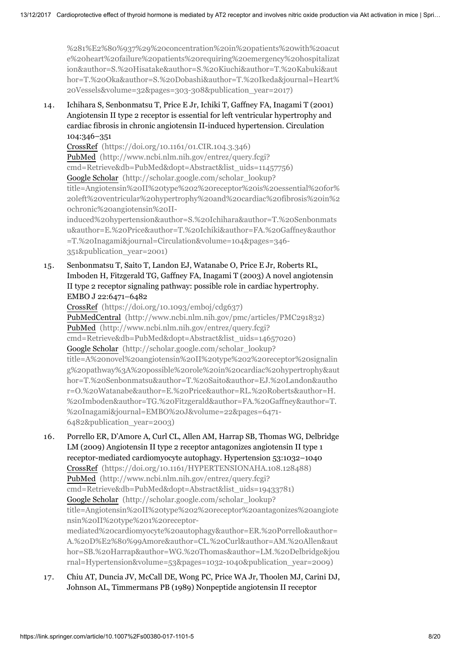%281%E2%80%937%29%20concentration%20in%20patients%20with%20acut [e%20heart%20failure%20patients%20requiring%20emergency%20hospitalizat](http://scholar.google.com/scholar_lookup?title=Serum%20angiotensin-converting%20enzyme%202%20concentration%20and%20angiotensin-%281%E2%80%937%29%20concentration%20in%20patients%20with%20acute%20heart%20failure%20patients%20requiring%20emergency%20hospitalization&author=S.%20Hisatake&author=S.%20Kiuchi&author=T.%20Kabuki&author=T.%20Oka&author=S.%20Dobashi&author=T.%20Ikeda&journal=Heart%20Vessels&volume=32&pages=303-308&publication_year=2017) ion&author=S.%20Hisatake&author=S.%20Kiuchi&author=T.%20Kabuki&aut hor=T.%20Oka&author=S.%20Dobashi&author=T.%20Ikeda&journal=Heart% 20Vessels&volume=32&pages=303-308&publication\_year=2017)

14. Ichihara S, Senbonmatsu T, Price E Jr, Ichiki T, Gaffney FA, Inagami T (2001) Angiotensin II type 2 receptor is essential for left ventricular hypertrophy and cardiac fibrosis in chronic angiotensin II-induced hypertension. Circulation 104:346–351

CrossRef [\(https://doi.org/10.1161/01.CIR.104.3.346\)](https://doi.org/10.1161/01.CIR.104.3.346) PubMed (http://www.ncbi.nlm.nih.gov/entrez/query.fcgi? [cmd=Retrieve&db=PubMed&dopt=Abstract&list\\_uids=11457756\)](http://www.ncbi.nlm.nih.gov/entrez/query.fcgi?cmd=Retrieve&db=PubMed&dopt=Abstract&list_uids=11457756) Google Scholar (http://scholar.google.com/scholar\_lookup? title=Angiotensin%20II%20type%202%20receptor%20is%20essential%20for% [20left%20ventricular%20hypertrophy%20and%20cardiac%20fibrosis%20in%2](http://scholar.google.com/scholar_lookup?title=Angiotensin%20II%20type%202%20receptor%20is%20essential%20for%20left%20ventricular%20hypertrophy%20and%20cardiac%20fibrosis%20in%20chronic%20angiotensin%20II-induced%20hypertension&author=S.%20Ichihara&author=T.%20Senbonmatsu&author=E.%20Price&author=T.%20Ichiki&author=FA.%20Gaffney&author=T.%20Inagami&journal=Circulation&volume=104&pages=346-351&publication_year=2001) 0chronic%20angiotensin%20IIinduced%20hypertension&author=S.%20Ichihara&author=T.%20Senbonmats u&author=E.%20Price&author=T.%20Ichiki&author=FA.%20Gaffney&author =T.%20Inagami&journal=Circulation&volume=104&pages=346-

351&publication\_year=2001)

15. Senbonmatsu T, Saito T, Landon EJ, Watanabe O, Price E Jr, Roberts RL, Imboden H, Fitzgerald TG, Gaffney FA, Inagami T (2003) A novel angiotensin II type 2 receptor signaling pathway: possible role in cardiac hypertrophy. EMBO J 22:6471–6482

CrossRef [\(https://doi.org/10.1093/emboj/cdg637\)](https://doi.org/10.1093/emboj/cdg637) PubMedCentral [\(http://www.ncbi.nlm.nih.gov/pmc/articles/PMC291832\)](http://www.ncbi.nlm.nih.gov/pmc/articles/PMC291832) PubMed (http://www.ncbi.nlm.nih.gov/entrez/query.fcgi? [cmd=Retrieve&db=PubMed&dopt=Abstract&list\\_uids=14657020\)](http://www.ncbi.nlm.nih.gov/entrez/query.fcgi?cmd=Retrieve&db=PubMed&dopt=Abstract&list_uids=14657020) Google Scholar (http://scholar.google.com/scholar\_lookup? title=A%20novel%20angiotensin%20II%20type%202%20receptor%20signalin [g%20pathway%3A%20possible%20role%20in%20cardiac%20hypertrophy&aut](http://scholar.google.com/scholar_lookup?title=A%20novel%20angiotensin%20II%20type%202%20receptor%20signaling%20pathway%3A%20possible%20role%20in%20cardiac%20hypertrophy&author=T.%20Senbonmatsu&author=T.%20Saito&author=EJ.%20Landon&author=O.%20Watanabe&author=E.%20Price&author=RL.%20Roberts&author=H.%20Imboden&author=TG.%20Fitzgerald&author=FA.%20Gaffney&author=T.%20Inagami&journal=EMBO%20J&volume=22&pages=6471-6482&publication_year=2003) hor=T.%20Senbonmatsu&author=T.%20Saito&author=EJ.%20Landon&autho r=O.%20Watanabe&author=E.%20Price&author=RL.%20Roberts&author=H. %20Imboden&author=TG.%20Fitzgerald&author=FA.%20Gaffney&author=T. %20Inagami&journal=EMBO%20J&volume=22&pages=6471- 6482&publication\_year=2003)

16. Porrello ER, D'Amore A, Curl CL, Allen AM, Harrap SB, Thomas WG, Delbridge LM (2009) Angiotensin II type 2 receptor antagonizes angiotensin II type 1 receptor-mediated cardiomyocyte autophagy. Hypertension 53:1032–1040 CrossRef [\(https://doi.org/10.1161/HYPERTENSIONAHA.108.128488\)](https://doi.org/10.1161/HYPERTENSIONAHA.108.128488) PubMed (http://www.ncbi.nlm.nih.gov/entrez/query.fcgi? [cmd=Retrieve&db=PubMed&dopt=Abstract&list\\_uids=19433781\)](http://www.ncbi.nlm.nih.gov/entrez/query.fcgi?cmd=Retrieve&db=PubMed&dopt=Abstract&list_uids=19433781) Google Scholar (http://scholar.google.com/scholar\_lookup? title=Angiotensin%20II%20type%202%20receptor%20antagonizes%20angiote nsin%20II%20type%201%20receptormediated%20cardiomyocyte%20autophagy&author=ER.%20Porrello&author= A.%20D%E2%80%99Amore&author=CL.%20Curl&author=AM.%20Allen&aut [hor=SB.%20Harrap&author=WG.%20Thomas&author=LM.%20Delbridge&jou](http://scholar.google.com/scholar_lookup?title=Angiotensin%20II%20type%202%20receptor%20antagonizes%20angiotensin%20II%20type%201%20receptor-mediated%20cardiomyocyte%20autophagy&author=ER.%20Porrello&author=A.%20D%E2%80%99Amore&author=CL.%20Curl&author=AM.%20Allen&author=SB.%20Harrap&author=WG.%20Thomas&author=LM.%20Delbridge&journal=Hypertension&volume=53&pages=1032-1040&publication_year=2009)

rnal=Hypertension&volume=53&pages=1032-1040&publication\_year=2009)

17. Chiu AT, Duncia JV, McCall DE, Wong PC, Price WA Jr, Thoolen MJ, Carini DJ, Johnson AL, Timmermans PB (1989) Nonpeptide angiotensin II receptor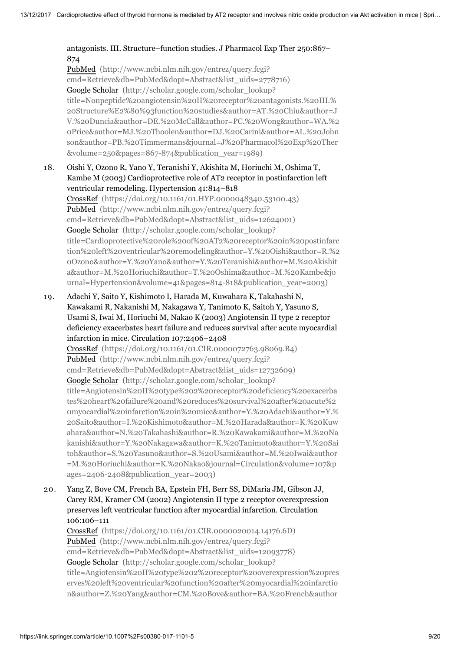#### antagonists. III. Structure–function studies. J Pharmacol Exp Ther 250:867– 874

PubMed (http://www.ncbi.nlm.nih.gov/entrez/query.fcgi? [cmd=Retrieve&db=PubMed&dopt=Abstract&list\\_uids=2778716\)](http://www.ncbi.nlm.nih.gov/entrez/query.fcgi?cmd=Retrieve&db=PubMed&dopt=Abstract&list_uids=2778716) Google Scholar (http://scholar.google.com/scholar\_lookup? title=Nonpeptide%20angiotensin%20II%20receptor%20antagonists.%20III.% 20Structure%E2%80%93function%20studies&author=AT.%20Chiu&author=J [V.%20Duncia&author=DE.%20McCall&author=PC.%20Wong&author=WA.%2](http://scholar.google.com/scholar_lookup?title=Nonpeptide%20angiotensin%20II%20receptor%20antagonists.%20III.%20Structure%E2%80%93function%20studies&author=AT.%20Chiu&author=JV.%20Duncia&author=DE.%20McCall&author=PC.%20Wong&author=WA.%20Price&author=MJ.%20Thoolen&author=DJ.%20Carini&author=AL.%20Johnson&author=PB.%20Timmermans&journal=J%20Pharmacol%20Exp%20Ther&volume=250&pages=867-874&publication_year=1989) 0Price&author=MJ.%20Thoolen&author=DJ.%20Carini&author=AL.%20John son&author=PB.%20Timmermans&journal=J%20Pharmacol%20Exp%20Ther &volume=250&pages=867-874&publication\_year=1989)

18. Oishi Y, Ozono R, Yano Y, Teranishi Y, Akishita M, Horiuchi M, Oshima T, Kambe M (2003) Cardioprotective role of AT2 receptor in postinfarction left ventricular remodeling. Hypertension 41:814–818 CrossRef [\(https://doi.org/10.1161/01.HYP.0000048340.53100.43\)](https://doi.org/10.1161/01.HYP.0000048340.53100.43) PubMed (http://www.ncbi.nlm.nih.gov/entrez/query.fcgi? [cmd=Retrieve&db=PubMed&dopt=Abstract&list\\_uids=12624001\)](http://www.ncbi.nlm.nih.gov/entrez/query.fcgi?cmd=Retrieve&db=PubMed&dopt=Abstract&list_uids=12624001) Google Scholar (http://scholar.google.com/scholar\_lookup? title=Cardioprotective%20role%20of%20AT2%20receptor%20in%20postinfarc [tion%20left%20ventricular%20remodeling&author=Y.%20Oishi&author=R.%2](http://scholar.google.com/scholar_lookup?title=Cardioprotective%20role%20of%20AT2%20receptor%20in%20postinfarction%20left%20ventricular%20remodeling&author=Y.%20Oishi&author=R.%20Ozono&author=Y.%20Yano&author=Y.%20Teranishi&author=M.%20Akishita&author=M.%20Horiuchi&author=T.%20Oshima&author=M.%20Kambe&journal=Hypertension&volume=41&pages=814-818&publication_year=2003) 0Ozono&author=Y.%20Yano&author=Y.%20Teranishi&author=M.%20Akishit a&author=M.%20Horiuchi&author=T.%20Oshima&author=M.%20Kambe&jo

19. Adachi Y, Saito Y, Kishimoto I, Harada M, Kuwahara K, Takahashi N, Kawakami R, Nakanishi M, Nakagawa Y, Tanimoto K, Saitoh Y, Yasuno S, Usami S, Iwai M, Horiuchi M, Nakao K (2003) Angiotensin II type 2 receptor deficiency exacerbates heart failure and reduces survival after acute myocardial infarction in mice. Circulation 107:2406–2408

urnal=Hypertension&volume=41&pages=814-818&publication\_year=2003)

CrossRef [\(https://doi.org/10.1161/01.CIR.0000072763.98069.B4\)](https://doi.org/10.1161/01.CIR.0000072763.98069.B4) PubMed (http://www.ncbi.nlm.nih.gov/entrez/query.fcgi? [cmd=Retrieve&db=PubMed&dopt=Abstract&list\\_uids=12732609\)](http://www.ncbi.nlm.nih.gov/entrez/query.fcgi?cmd=Retrieve&db=PubMed&dopt=Abstract&list_uids=12732609) Google Scholar (http://scholar.google.com/scholar\_lookup? title=Angiotensin%20II%20type%202%20receptor%20deficiency%20exacerba tes%20heart%20failure%20and%20reduces%20survival%20after%20acute%2 [0myocardial%20infarction%20in%20mice&author=Y.%20Adachi&author=Y.%](http://scholar.google.com/scholar_lookup?title=Angiotensin%20II%20type%202%20receptor%20deficiency%20exacerbates%20heart%20failure%20and%20reduces%20survival%20after%20acute%20myocardial%20infarction%20in%20mice&author=Y.%20Adachi&author=Y.%20Saito&author=I.%20Kishimoto&author=M.%20Harada&author=K.%20Kuwahara&author=N.%20Takahashi&author=R.%20Kawakami&author=M.%20Nakanishi&author=Y.%20Nakagawa&author=K.%20Tanimoto&author=Y.%20Saitoh&author=S.%20Yasuno&author=S.%20Usami&author=M.%20Iwai&author=M.%20Horiuchi&author=K.%20Nakao&journal=Circulation&volume=107&pages=2406-2408&publication_year=2003) 20Saito&author=I.%20Kishimoto&author=M.%20Harada&author=K.%20Kuw ahara&author=N.%20Takahashi&author=R.%20Kawakami&author=M.%20Na kanishi&author=Y.%20Nakagawa&author=K.%20Tanimoto&author=Y.%20Sai toh&author=S.%20Yasuno&author=S.%20Usami&author=M.%20Iwai&author =M.%20Horiuchi&author=K.%20Nakao&journal=Circulation&volume=107&p ages=2406-2408&publication\_year=2003)

20. Yang Z, Bove CM, French BA, Epstein FH, Berr SS, DiMaria JM, Gibson JJ, Carey RM, Kramer CM (2002) Angiotensin II type 2 receptor overexpression preserves left ventricular function after myocardial infarction. Circulation 106:106–111

CrossRef [\(https://doi.org/10.1161/01.CIR.0000020014.14176.6D\)](https://doi.org/10.1161/01.CIR.0000020014.14176.6D) PubMed (http://www.ncbi.nlm.nih.gov/entrez/query.fcgi? [cmd=Retrieve&db=PubMed&dopt=Abstract&list\\_uids=12093778\)](http://www.ncbi.nlm.nih.gov/entrez/query.fcgi?cmd=Retrieve&db=PubMed&dopt=Abstract&list_uids=12093778) Google Scholar (http://scholar.google.com/scholar\_lookup? [title=Angiotensin%20II%20type%202%20receptor%20overexpression%20pres](http://scholar.google.com/scholar_lookup?title=Angiotensin%20II%20type%202%20receptor%20overexpression%20preserves%20left%20ventricular%20function%20after%20myocardial%20infarction&author=Z.%20Yang&author=CM.%20Bove&author=BA.%20French&author=FH.%20Epstein&author=SS.%20Berr&author=JM.%20DiMaria&author=JJ.%20Gibson&author=RM.%20Carey&author=CM.%20Kramer&journal=Circulation&volume=106&pages=106-111&publication_year=2002) erves%20left%20ventricular%20function%20after%20myocardial%20infarctio n&author=Z.%20Yang&author=CM.%20Bove&author=BA.%20French&author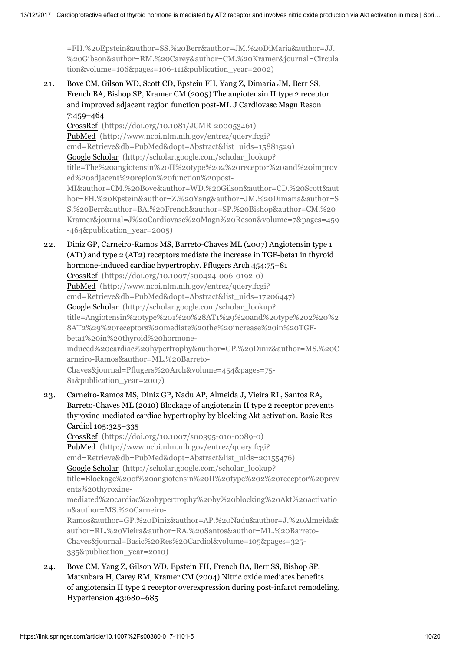=FH.%20Epstein&author=SS.%20Berr&author=JM.%20DiMaria&author=JJ. [%20Gibson&author=RM.%20Carey&author=CM.%20Kramer&journal=Circula](http://scholar.google.com/scholar_lookup?title=Angiotensin%20II%20type%202%20receptor%20overexpression%20preserves%20left%20ventricular%20function%20after%20myocardial%20infarction&author=Z.%20Yang&author=CM.%20Bove&author=BA.%20French&author=FH.%20Epstein&author=SS.%20Berr&author=JM.%20DiMaria&author=JJ.%20Gibson&author=RM.%20Carey&author=CM.%20Kramer&journal=Circulation&volume=106&pages=106-111&publication_year=2002) tion&volume=106&pages=106-111&publication\_year=2002)

21. Bove CM, Gilson WD, Scott CD, Epstein FH, Yang Z, Dimaria JM, Berr SS, French BA, Bishop SP, Kramer CM (2005) The angiotensin II type 2 receptor and improved adjacent region function post-MI. J Cardiovasc Magn Reson 7:459–464

CrossRef [\(https://doi.org/10.1081/JCMR-200053461\)](https://doi.org/10.1081/JCMR-200053461) PubMed (http://www.ncbi.nlm.nih.gov/entrez/query.fcgi? [cmd=Retrieve&db=PubMed&dopt=Abstract&list\\_uids=15881529\)](http://www.ncbi.nlm.nih.gov/entrez/query.fcgi?cmd=Retrieve&db=PubMed&dopt=Abstract&list_uids=15881529) Google Scholar (http://scholar.google.com/scholar\_lookup? title=The%20angiotensin%20II%20type%202%20receptor%20and%20improv ed%20adjacent%20region%20function%20post-MI&author=CM.%20Bove&author=WD.%20Gilson&author=CD.%20Scott&aut hor=FH.%20Epstein&author=Z.%20Yang&author=JM.%20Dimaria&author=S S.%20Berr&author=BA.%20French&author=SP.%20Bishop&author=CM.%20 [Kramer&journal=J%20Cardiovasc%20Magn%20Reson&volume=7&pages=459](http://scholar.google.com/scholar_lookup?title=The%20angiotensin%20II%20type%202%20receptor%20and%20improved%20adjacent%20region%20function%20post-MI&author=CM.%20Bove&author=WD.%20Gilson&author=CD.%20Scott&author=FH.%20Epstein&author=Z.%20Yang&author=JM.%20Dimaria&author=SS.%20Berr&author=BA.%20French&author=SP.%20Bishop&author=CM.%20Kramer&journal=J%20Cardiovasc%20Magn%20Reson&volume=7&pages=459-464&publication_year=2005) -464&publication\_year=2005)

22. Diniz GP, Carneiro-Ramos MS, Barreto-Chaves ML (2007) Angiotensin type 1 (AT1) and type 2 (AT2) receptors mediate the increase in TGF-beta1 in thyroid hormone-induced cardiac hypertrophy. Pflugers Arch 454:75–81 CrossRef [\(https://doi.org/10.1007/s00424-006-0192-0\)](https://doi.org/10.1007/s00424-006-0192-0) PubMed (http://www.ncbi.nlm.nih.gov/entrez/query.fcgi? [cmd=Retrieve&db=PubMed&dopt=Abstract&list\\_uids=17206447\)](http://www.ncbi.nlm.nih.gov/entrez/query.fcgi?cmd=Retrieve&db=PubMed&dopt=Abstract&list_uids=17206447) Google Scholar (http://scholar.google.com/scholar\_lookup? title=Angiotensin%20type%201%20%28AT1%29%20and%20type%202%20%2 8AT2%29%20receptors%20mediate%20the%20increase%20in%20TGFbeta1%20in%20thyroid%20hormone[induced%20cardiac%20hypertrophy&author=GP.%20Diniz&author=MS.%20C](http://scholar.google.com/scholar_lookup?title=Angiotensin%20type%201%20%28AT1%29%20and%20type%202%20%28AT2%29%20receptors%20mediate%20the%20increase%20in%20TGF-beta1%20in%20thyroid%20hormone-induced%20cardiac%20hypertrophy&author=GP.%20Diniz&author=MS.%20Carneiro-Ramos&author=ML.%20Barreto-Chaves&journal=Pflugers%20Arch&volume=454&pages=75-81&publication_year=2007) arneiro-Ramos&author=ML.%20Barreto-Chaves&journal=Pflugers%20Arch&volume=454&pages=75- 81&publication\_year=2007)

23. Carneiro-Ramos MS, Diniz GP, Nadu AP, Almeida J, Vieira RL, Santos RA, Barreto-Chaves ML (2010) Blockage of angiotensin II type 2 receptor prevents thyroxine-mediated cardiac hypertrophy by blocking Akt activation. Basic Res Cardiol 105:325–335

CrossRef [\(https://doi.org/10.1007/s00395-010-0089-0\)](https://doi.org/10.1007/s00395-010-0089-0) PubMed (http://www.ncbi.nlm.nih.gov/entrez/query.fcgi? [cmd=Retrieve&db=PubMed&dopt=Abstract&list\\_uids=20155476\)](http://www.ncbi.nlm.nih.gov/entrez/query.fcgi?cmd=Retrieve&db=PubMed&dopt=Abstract&list_uids=20155476) Google Scholar (http://scholar.google.com/scholar\_lookup? [title=Blockage%20of%20angiotensin%20II%20type%202%20receptor%20prev](http://scholar.google.com/scholar_lookup?title=Blockage%20of%20angiotensin%20II%20type%202%20receptor%20prevents%20thyroxine-mediated%20cardiac%20hypertrophy%20by%20blocking%20Akt%20activation&author=MS.%20Carneiro-Ramos&author=GP.%20Diniz&author=AP.%20Nadu&author=J.%20Almeida&author=RL.%20Vieira&author=RA.%20Santos&author=ML.%20Barreto-Chaves&journal=Basic%20Res%20Cardiol&volume=105&pages=325-335&publication_year=2010) ents%20thyroxinemediated%20cardiac%20hypertrophy%20by%20blocking%20Akt%20activatio n&author=MS.%20Carneiro-Ramos&author=GP.%20Diniz&author=AP.%20Nadu&author=J.%20Almeida& author=RL.%20Vieira&author=RA.%20Santos&author=ML.%20Barreto-Chaves&journal=Basic%20Res%20Cardiol&volume=105&pages=325- 335&publication\_year=2010)

24. Bove CM, Yang Z, Gilson WD, Epstein FH, French BA, Berr SS, Bishop SP, Matsubara H, Carey RM, Kramer CM (2004) Nitric oxide mediates benefits of angiotensin II type 2 receptor overexpression during post-infarct remodeling. Hypertension 43:680–685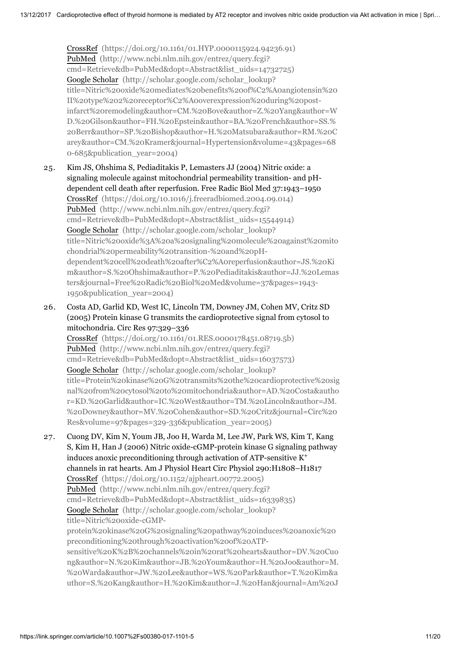CrossRef [\(https://doi.org/10.1161/01.HYP.0000115924.94236.91\)](https://doi.org/10.1161/01.HYP.0000115924.94236.91) PubMed (http://www.ncbi.nlm.nih.gov/entrez/query.fcgi? [cmd=Retrieve&db=PubMed&dopt=Abstract&list\\_uids=14732725\)](http://www.ncbi.nlm.nih.gov/entrez/query.fcgi?cmd=Retrieve&db=PubMed&dopt=Abstract&list_uids=14732725) Google Scholar (http://scholar.google.com/scholar\_lookup? [title=Nitric%20oxide%20mediates%20benefits%20of%C2%A0angiotensin%20](http://scholar.google.com/scholar_lookup?title=Nitric%20oxide%20mediates%20benefits%20of%C2%A0angiotensin%20II%20type%202%20receptor%C2%A0overexpression%20during%20post-infarct%20remodeling&author=CM.%20Bove&author=Z.%20Yang&author=WD.%20Gilson&author=FH.%20Epstein&author=BA.%20French&author=SS.%20Berr&author=SP.%20Bishop&author=H.%20Matsubara&author=RM.%20Carey&author=CM.%20Kramer&journal=Hypertension&volume=43&pages=680-685&publication_year=2004) II%20type%202%20receptor%C2%A0overexpression%20during%20postinfarct%20remodeling&author=CM.%20Bove&author=Z.%20Yang&author=W D.%20Gilson&author=FH.%20Epstein&author=BA.%20French&author=SS.% 20Berr&author=SP.%20Bishop&author=H.%20Matsubara&author=RM.%20C arey&author=CM.%20Kramer&journal=Hypertension&volume=43&pages=68 0-685&publication\_year=2004)

25. Kim JS, Ohshima S, Pediaditakis P, Lemasters JJ (2004) Nitric oxide: a signaling molecule against mitochondrial permeability transition- and pHdependent cell death after reperfusion. Free Radic Biol Med 37:1943–1950 CrossRef [\(https://doi.org/10.1016/j.freeradbiomed.2004.09.014\)](https://doi.org/10.1016/j.freeradbiomed.2004.09.014) PubMed (http://www.ncbi.nlm.nih.gov/entrez/query.fcgi? [cmd=Retrieve&db=PubMed&dopt=Abstract&list\\_uids=15544914\)](http://www.ncbi.nlm.nih.gov/entrez/query.fcgi?cmd=Retrieve&db=PubMed&dopt=Abstract&list_uids=15544914) Google Scholar (http://scholar.google.com/scholar\_lookup? title=Nitric%20oxide%3A%20a%20signaling%20molecule%20against%20mito chondrial%20permeability%20transition-%20and%20pHdependent%20cell%20death%20after%C2%A0reperfusion&author=JS.%20Ki [m&author=S.%20Ohshima&author=P.%20Pediaditakis&author=JJ.%20Lemas](http://scholar.google.com/scholar_lookup?title=Nitric%20oxide%3A%20a%20signaling%20molecule%20against%20mitochondrial%20permeability%20transition-%20and%20pH-dependent%20cell%20death%20after%C2%A0reperfusion&author=JS.%20Kim&author=S.%20Ohshima&author=P.%20Pediaditakis&author=JJ.%20Lemasters&journal=Free%20Radic%20Biol%20Med&volume=37&pages=1943-1950&publication_year=2004) ters&journal=Free%20Radic%20Biol%20Med&volume=37&pages=1943- 1950&publication\_year=2004)

26. Costa AD, Garlid KD, West IC, Lincoln TM, Downey JM, Cohen MV, Critz SD (2005) Protein kinase G transmits the cardioprotective signal from cytosol to mitochondria. Circ Res 97:329–336

CrossRef [\(https://doi.org/10.1161/01.RES.0000178451.08719.5b\)](https://doi.org/10.1161/01.RES.0000178451.08719.5b) PubMed (http://www.ncbi.nlm.nih.gov/entrez/query.fcgi? [cmd=Retrieve&db=PubMed&dopt=Abstract&list\\_uids=16037573\)](http://www.ncbi.nlm.nih.gov/entrez/query.fcgi?cmd=Retrieve&db=PubMed&dopt=Abstract&list_uids=16037573) Google Scholar (http://scholar.google.com/scholar\_lookup? [title=Protein%20kinase%20G%20transmits%20the%20cardioprotective%20sig](http://scholar.google.com/scholar_lookup?title=Protein%20kinase%20G%20transmits%20the%20cardioprotective%20signal%20from%20cytosol%20to%20mitochondria&author=AD.%20Costa&author=KD.%20Garlid&author=IC.%20West&author=TM.%20Lincoln&author=JM.%20Downey&author=MV.%20Cohen&author=SD.%20Critz&journal=Circ%20Res&volume=97&pages=329-336&publication_year=2005) nal%20from%20cytosol%20to%20mitochondria&author=AD.%20Costa&autho r=KD.%20Garlid&author=IC.%20West&author=TM.%20Lincoln&author=JM. %20Downey&author=MV.%20Cohen&author=SD.%20Critz&journal=Circ%20 Res&volume=97&pages=329-336&publication\_year=2005)

27. Cuong DV, Kim N, Youm JB, Joo H, Warda M, Lee JW, Park WS, Kim T, Kang S, Kim H, Han J (2006) Nitric oxide-cGMP-protein kinase G signaling pathway induces anoxic preconditioning through activation of ATP-sensitive  $K^+$ channels in rat hearts. Am J Physiol Heart Circ Physiol 290:H1808–H1817 CrossRef [\(https://doi.org/10.1152/ajpheart.00772.2005\)](https://doi.org/10.1152/ajpheart.00772.2005) PubMed (http://www.ncbi.nlm.nih.gov/entrez/query.fcgi? [cmd=Retrieve&db=PubMed&dopt=Abstract&list\\_uids=16339835\)](http://www.ncbi.nlm.nih.gov/entrez/query.fcgi?cmd=Retrieve&db=PubMed&dopt=Abstract&list_uids=16339835) Google Scholar (http://scholar.google.com/scholar\_lookup? title=Nitric%20oxide-cGMPprotein%20kinase%20G%20signaling%20pathway%20induces%20anoxic%20 preconditioning%20through%20activation%20of%20ATPsensitive%20K%2B%20channels%20in%20rat%20hearts&author=DV.%20Cuo

[ng&author=N.%20Kim&author=JB.%20Youm&author=H.%20Joo&author=M.](http://scholar.google.com/scholar_lookup?title=Nitric%20oxide-cGMP-protein%20kinase%20G%20signaling%20pathway%20induces%20anoxic%20preconditioning%20through%20activation%20of%20ATP-sensitive%20K%2B%20channels%20in%20rat%20hearts&author=DV.%20Cuong&author=N.%20Kim&author=JB.%20Youm&author=H.%20Joo&author=M.%20Warda&author=JW.%20Lee&author=WS.%20Park&author=T.%20Kim&author=S.%20Kang&author=H.%20Kim&author=J.%20Han&journal=Am%20J%20Physiol%20Heart%20Circ%20Physiol&volume=290&pages=H1808-H1817&publication_year=2006) %20Warda&author=JW.%20Lee&author=WS.%20Park&author=T.%20Kim&a uthor=S.%20Kang&author=H.%20Kim&author=J.%20Han&journal=Am%20J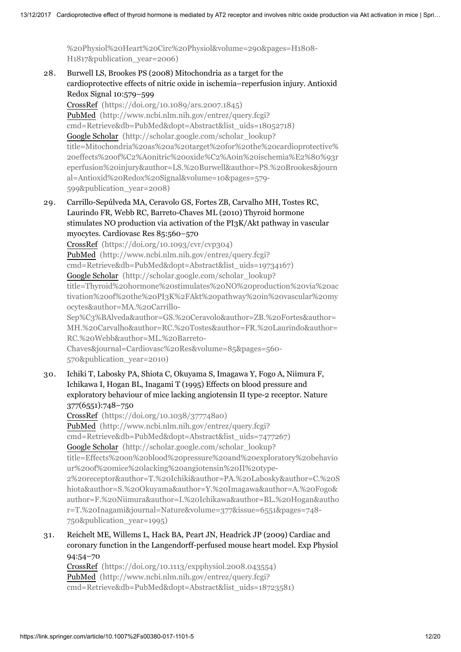[%20Physiol%20Heart%20Circ%20Physiol&volume=290&pages=H1808-](http://scholar.google.com/scholar_lookup?title=Nitric%20oxide-cGMP-protein%20kinase%20G%20signaling%20pathway%20induces%20anoxic%20preconditioning%20through%20activation%20of%20ATP-sensitive%20K%2B%20channels%20in%20rat%20hearts&author=DV.%20Cuong&author=N.%20Kim&author=JB.%20Youm&author=H.%20Joo&author=M.%20Warda&author=JW.%20Lee&author=WS.%20Park&author=T.%20Kim&author=S.%20Kang&author=H.%20Kim&author=J.%20Han&journal=Am%20J%20Physiol%20Heart%20Circ%20Physiol&volume=290&pages=H1808-H1817&publication_year=2006) H1817&publication\_year=2006)

28. Burwell LS, Brookes PS (2008) Mitochondria as a target for the cardioprotective effects of nitric oxide in ischemia–reperfusion injury. Antioxid Redox Signal 10:579–599 CrossRef [\(https://doi.org/10.1089/ars.2007.1845\)](https://doi.org/10.1089/ars.2007.1845) PubMed (http://www.ncbi.nlm.nih.gov/entrez/query.fcgi? [cmd=Retrieve&db=PubMed&dopt=Abstract&list\\_uids=18052718\)](http://www.ncbi.nlm.nih.gov/entrez/query.fcgi?cmd=Retrieve&db=PubMed&dopt=Abstract&list_uids=18052718) Google Scholar (http://scholar.google.com/scholar\_lookup? [title=Mitochondria%20as%20a%20target%20for%20the%20cardioprotective%](http://scholar.google.com/scholar_lookup?title=Mitochondria%20as%20a%20target%20for%20the%20cardioprotective%20effects%20of%C2%A0nitric%20oxide%C2%A0in%20ischemia%E2%80%93reperfusion%20injury&author=LS.%20Burwell&author=PS.%20Brookes&journal=Antioxid%20Redox%20Signal&volume=10&pages=579-599&publication_year=2008)

20effects%20of%C2%A0nitric%20oxide%C2%A0in%20ischemia%E2%80%93r eperfusion%20injury&author=LS.%20Burwell&author=PS.%20Brookes&journ al=Antioxid%20Redox%20Signal&volume=10&pages=579- 599&publication\_year=2008)

29. Carrillo-Sepúlveda MA, Ceravolo GS, Fortes ZB, Carvalho MH, Tostes RC, Laurindo FR, Webb RC, Barreto-Chaves ML (2010) Thyroid hormone stimulates NO production via activation of the PI3K/Akt pathway in vascular myocytes. Cardiovasc Res 85:560–570

CrossRef [\(https://doi.org/10.1093/cvr/cvp304\)](https://doi.org/10.1093/cvr/cvp304) PubMed (http://www.ncbi.nlm.nih.gov/entrez/query.fcgi? [cmd=Retrieve&db=PubMed&dopt=Abstract&list\\_uids=19734167\)](http://www.ncbi.nlm.nih.gov/entrez/query.fcgi?cmd=Retrieve&db=PubMed&dopt=Abstract&list_uids=19734167) Google Scholar (http://scholar.google.com/scholar\_lookup? [title=Thyroid%20hormone%20stimulates%20NO%20production%20via%20ac](http://scholar.google.com/scholar_lookup?title=Thyroid%20hormone%20stimulates%20NO%20production%20via%20activation%20of%20the%20PI3K%2FAkt%20pathway%20in%20vascular%20myocytes&author=MA.%20Carrillo-Sep%C3%BAlveda&author=GS.%20Ceravolo&author=ZB.%20Fortes&author=MH.%20Carvalho&author=RC.%20Tostes&author=FR.%20Laurindo&author=RC.%20Webb&author=ML.%20Barreto-Chaves&journal=Cardiovasc%20Res&volume=85&pages=560-570&publication_year=2010) tivation%20of%20the%20PI3K%2FAkt%20pathway%20in%20vascular%20my ocytes&author=MA.%20Carrillo-Sep%C3%BAlveda&author=GS.%20Ceravolo&author=ZB.%20Fortes&author= MH.%20Carvalho&author=RC.%20Tostes&author=FR.%20Laurindo&author= RC.%20Webb&author=ML.%20Barreto-Chaves&journal=Cardiovasc%20Res&volume=85&pages=560-

570&publication\_year=2010)

30. Ichiki T, Labosky PA, Shiota C, Okuyama S, Imagawa Y, Fogo A, Niimura F, Ichikawa I, Hogan BL, Inagami T (1995) Effects on blood pressure and exploratory behaviour of mice lacking angiotensin II type-2 receptor. Nature 377(6551):748–750

CrossRef [\(https://doi.org/10.1038/377748a0\)](https://doi.org/10.1038/377748a0) PubMed (http://www.ncbi.nlm.nih.gov/entrez/query.fcgi? [cmd=Retrieve&db=PubMed&dopt=Abstract&list\\_uids=7477267\)](http://www.ncbi.nlm.nih.gov/entrez/query.fcgi?cmd=Retrieve&db=PubMed&dopt=Abstract&list_uids=7477267) Google Scholar (http://scholar.google.com/scholar\_lookup? title=Effects%20on%20blood%20pressure%20and%20exploratory%20behavio ur%20of%20mice%20lacking%20angiotensin%20II%20type-[2%20receptor&author=T.%20Ichiki&author=PA.%20Labosky&author=C.%20S](http://scholar.google.com/scholar_lookup?title=Effects%20on%20blood%20pressure%20and%20exploratory%20behaviour%20of%20mice%20lacking%20angiotensin%20II%20type-2%20receptor&author=T.%20Ichiki&author=PA.%20Labosky&author=C.%20Shiota&author=S.%20Okuyama&author=Y.%20Imagawa&author=A.%20Fogo&author=F.%20Niimura&author=I.%20Ichikawa&author=BL.%20Hogan&author=T.%20Inagami&journal=Nature&volume=377&issue=6551&pages=748-750&publication_year=1995) hiota&author=S.%20Okuyama&author=Y.%20Imagawa&author=A.%20Fogo& author=F.%20Niimura&author=I.%20Ichikawa&author=BL.%20Hogan&autho r=T.%20Inagami&journal=Nature&volume=377&issue=6551&pages=748- 750&publication\_year=1995)

31. Reichelt ME, Willems L, Hack BA, Peart JN, Headrick JP (2009) Cardiac and coronary function in the Langendorff-perfused mouse heart model. Exp Physiol 94:54–70

CrossRef [\(https://doi.org/10.1113/expphysiol.2008.043554\)](https://doi.org/10.1113/expphysiol.2008.043554) PubMed (http://www.ncbi.nlm.nih.gov/entrez/query.fcgi? [cmd=Retrieve&db=PubMed&dopt=Abstract&list\\_uids=18723581\)](http://www.ncbi.nlm.nih.gov/entrez/query.fcgi?cmd=Retrieve&db=PubMed&dopt=Abstract&list_uids=18723581)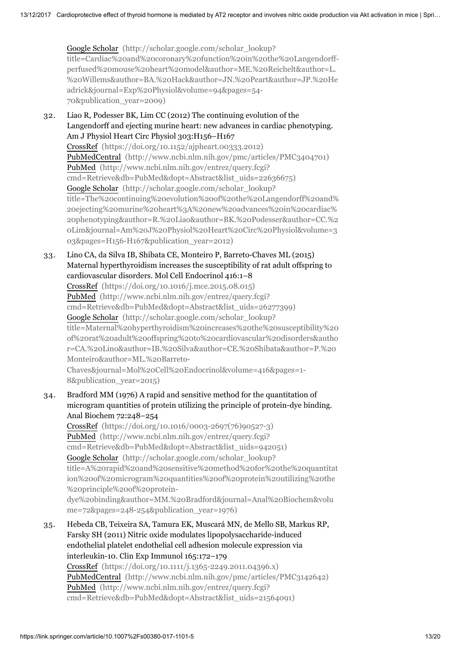Google Scholar (http://scholar.google.com/scholar\_lookup? [title=Cardiac%20and%20coronary%20function%20in%20the%20Langendorff](http://scholar.google.com/scholar_lookup?title=Cardiac%20and%20coronary%20function%20in%20the%20Langendorff-perfused%20mouse%20heart%20model&author=ME.%20Reichelt&author=L.%20Willems&author=BA.%20Hack&author=JN.%20Peart&author=JP.%20Headrick&journal=Exp%20Physiol&volume=94&pages=54-70&publication_year=2009)perfused%20mouse%20heart%20model&author=ME.%20Reichelt&author=L. %20Willems&author=BA.%20Hack&author=JN.%20Peart&author=JP.%20He adrick&journal=Exp%20Physiol&volume=94&pages=54- 70&publication\_year=2009)

- 32. Liao R, Podesser BK, Lim CC (2012) The continuing evolution of the Langendorff and ejecting murine heart: new advances in cardiac phenotyping. Am J Physiol Heart Circ Physiol 303:H156–H167 CrossRef [\(https://doi.org/10.1152/ajpheart.00333.2012\)](https://doi.org/10.1152/ajpheart.00333.2012) PubMedCentral [\(http://www.ncbi.nlm.nih.gov/pmc/articles/PMC3404701\)](http://www.ncbi.nlm.nih.gov/pmc/articles/PMC3404701) PubMed (http://www.ncbi.nlm.nih.gov/entrez/query.fcgi? [cmd=Retrieve&db=PubMed&dopt=Abstract&list\\_uids=22636675\)](http://www.ncbi.nlm.nih.gov/entrez/query.fcgi?cmd=Retrieve&db=PubMed&dopt=Abstract&list_uids=22636675) Google Scholar (http://scholar.google.com/scholar\_lookup? [title=The%20continuing%20evolution%20of%20the%20Langendorff%20and%](http://scholar.google.com/scholar_lookup?title=The%20continuing%20evolution%20of%20the%20Langendorff%20and%20ejecting%20murine%20heart%3A%20new%20advances%20in%20cardiac%20phenotyping&author=R.%20Liao&author=BK.%20Podesser&author=CC.%20Lim&journal=Am%20J%20Physiol%20Heart%20Circ%20Physiol&volume=303&pages=H156-H167&publication_year=2012) 20ejecting%20murine%20heart%3A%20new%20advances%20in%20cardiac% 20phenotyping&author=R.%20Liao&author=BK.%20Podesser&author=CC.%2 0Lim&journal=Am%20J%20Physiol%20Heart%20Circ%20Physiol&volume=3 03&pages=H156-H167&publication\_year=2012)
- 33. Lino CA, da Silva IB, Shibata CE, Monteiro P, Barreto-Chaves ML (2015) Maternal hyperthyroidism increases the susceptibility of rat adult offspring to cardiovascular disorders. Mol Cell Endocrinol 416:1–8

CrossRef [\(https://doi.org/10.1016/j.mce.2015.08.015\)](https://doi.org/10.1016/j.mce.2015.08.015) PubMed (http://www.ncbi.nlm.nih.gov/entrez/query.fcgi? [cmd=Retrieve&db=PubMed&dopt=Abstract&list\\_uids=26277399\)](http://www.ncbi.nlm.nih.gov/entrez/query.fcgi?cmd=Retrieve&db=PubMed&dopt=Abstract&list_uids=26277399) Google Scholar (http://scholar.google.com/scholar\_lookup? [title=Maternal%20hyperthyroidism%20increases%20the%20susceptibility%20](http://scholar.google.com/scholar_lookup?title=Maternal%20hyperthyroidism%20increases%20the%20susceptibility%20of%20rat%20adult%20offspring%20to%20cardiovascular%20disorders&author=CA.%20Lino&author=IB.%20Silva&author=CE.%20Shibata&author=P.%20Monteiro&author=ML.%20Barreto-Chaves&journal=Mol%20Cell%20Endocrinol&volume=416&pages=1-8&publication_year=2015) of%20rat%20adult%20offspring%20to%20cardiovascular%20disorders&autho r=CA.%20Lino&author=IB.%20Silva&author=CE.%20Shibata&author=P.%20 Monteiro&author=ML.%20Barreto-Chaves&journal=Mol%20Cell%20Endocrinol&volume=416&pages=1- 8&publication\_year=2015)

34. Bradford MM (1976) A rapid and sensitive method for the quantitation of microgram quantities of protein utilizing the principle of protein-dye binding. Anal Biochem 72:248–254

CrossRef [\(https://doi.org/10.1016/0003-2697\(76\)90527-3\)](https://doi.org/10.1016/0003-2697(76)90527-3) PubMed (http://www.ncbi.nlm.nih.gov/entrez/query.fcgi? [cmd=Retrieve&db=PubMed&dopt=Abstract&list\\_uids=942051\)](http://www.ncbi.nlm.nih.gov/entrez/query.fcgi?cmd=Retrieve&db=PubMed&dopt=Abstract&list_uids=942051) Google Scholar (http://scholar.google.com/scholar\_lookup? [title=A%20rapid%20and%20sensitive%20method%20for%20the%20quantitat](http://scholar.google.com/scholar_lookup?title=A%20rapid%20and%20sensitive%20method%20for%20the%20quantitation%20of%20microgram%20quantities%20of%20protein%20utilizing%20the%20principle%20of%20protein-dye%20binding&author=MM.%20Bradford&journal=Anal%20Biochem&volume=72&pages=248-254&publication_year=1976) ion%20of%20microgram%20quantities%20of%20protein%20utilizing%20the %20principle%20of%20proteindye%20binding&author=MM.%20Bradford&journal=Anal%20Biochem&volu me=72&pages=248-254&publication\_year=1976)

35. Hebeda CB, Teixeira SA, Tamura EK, Muscará MN, de Mello SB, Markus RP, Farsky SH (2011) Nitric oxide modulates lipopolysaccharide-induced endothelial platelet endothelial cell adhesion molecule expression via interleukin-10. Clin Exp Immunol 165:172–179 CrossRef [\(https://doi.org/10.1111/j.1365-2249.2011.04396.x\)](https://doi.org/10.1111/j.1365-2249.2011.04396.x) PubMedCentral [\(http://www.ncbi.nlm.nih.gov/pmc/articles/PMC3142642\)](http://www.ncbi.nlm.nih.gov/pmc/articles/PMC3142642) PubMed (http://www.ncbi.nlm.nih.gov/entrez/query.fcgi? [cmd=Retrieve&db=PubMed&dopt=Abstract&list\\_uids=21564091\)](http://www.ncbi.nlm.nih.gov/entrez/query.fcgi?cmd=Retrieve&db=PubMed&dopt=Abstract&list_uids=21564091)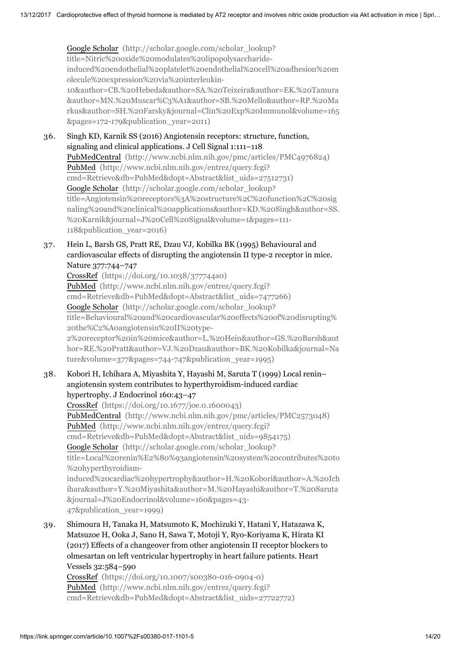Google Scholar (http://scholar.google.com/scholar\_lookup? title=Nitric%20oxide%20modulates%20lipopolysaccharideinduced%20endothelial%20platelet%20endothelial%20cell%20adhesion%20m olecule%20expression%20via%20interleukin-10&author=CB.%20Hebeda&author=SA.%20Teixeira&author=EK.%20Tamura &author=MN.%20Muscar%C3%A1&author=SB.%20Mello&author=RP.%20Ma [rkus&author=SH.%20Farsky&journal=Clin%20Exp%20Immunol&volume=165](http://scholar.google.com/scholar_lookup?title=Nitric%20oxide%20modulates%20lipopolysaccharide-induced%20endothelial%20platelet%20endothelial%20cell%20adhesion%20molecule%20expression%20via%20interleukin-10&author=CB.%20Hebeda&author=SA.%20Teixeira&author=EK.%20Tamura&author=MN.%20Muscar%C3%A1&author=SB.%20Mello&author=RP.%20Markus&author=SH.%20Farsky&journal=Clin%20Exp%20Immunol&volume=165&pages=172-179&publication_year=2011) &pages=172-179&publication\_year=2011)

- 36. Singh KD, Karnik SS (2016) Angiotensin receptors: structure, function, signaling and clinical applications. J Cell Signal 1:111–118 PubMedCentral [\(http://www.ncbi.nlm.nih.gov/pmc/articles/PMC4976824\)](http://www.ncbi.nlm.nih.gov/pmc/articles/PMC4976824) PubMed (http://www.ncbi.nlm.nih.gov/entrez/query.fcgi? [cmd=Retrieve&db=PubMed&dopt=Abstract&list\\_uids=27512731\)](http://www.ncbi.nlm.nih.gov/entrez/query.fcgi?cmd=Retrieve&db=PubMed&dopt=Abstract&list_uids=27512731) Google Scholar (http://scholar.google.com/scholar\_lookup? title=Angiotensin%20receptors%3A%20structure%2C%20function%2C%20sig [naling%20and%20clinical%20applications&author=KD.%20Singh&author=SS.](http://scholar.google.com/scholar_lookup?title=Angiotensin%20receptors%3A%20structure%2C%20function%2C%20signaling%20and%20clinical%20applications&author=KD.%20Singh&author=SS.%20Karnik&journal=J%20Cell%20Signal&volume=1&pages=111-118&publication_year=2016) %20Karnik&journal=J%20Cell%20Signal&volume=1&pages=111- 118&publication\_year=2016)
- 37. Hein L, Barsh GS, Pratt RE, Dzau VJ, Kobilka BK (1995) Behavioural and cardiovascular effects of disrupting the angiotensin II type-2 receptor in mice. Nature 377:744–747

CrossRef [\(https://doi.org/10.1038/377744a0\)](https://doi.org/10.1038/377744a0) PubMed (http://www.ncbi.nlm.nih.gov/entrez/query.fcgi? [cmd=Retrieve&db=PubMed&dopt=Abstract&list\\_uids=7477266\)](http://www.ncbi.nlm.nih.gov/entrez/query.fcgi?cmd=Retrieve&db=PubMed&dopt=Abstract&list_uids=7477266) Google Scholar (http://scholar.google.com/scholar\_lookup? title=Behavioural%20and%20cardiovascular%20effects%20of%20disrupting% 20the%C2%A0angiotensin%20II%20type-2%20receptor%20in%20mice&author=L.%20Hein&author=GS.%20Barsh&aut [hor=RE.%20Pratt&author=VJ.%20Dzau&author=BK.%20Kobilka&journal=Na](http://scholar.google.com/scholar_lookup?title=Behavioural%20and%20cardiovascular%20effects%20of%20disrupting%20the%C2%A0angiotensin%20II%20type-2%20receptor%20in%20mice&author=L.%20Hein&author=GS.%20Barsh&author=RE.%20Pratt&author=VJ.%20Dzau&author=BK.%20Kobilka&journal=Nature&volume=377&pages=744-747&publication_year=1995) ture&volume=377&pages=744-747&publication\_year=1995)

38. Kobori H, Ichihara A, Miyashita Y, Hayashi M, Saruta T (1999) Local renin– angiotensin system contributes to hyperthyroidism-induced cardiac hypertrophy. J Endocrinol 160:43–47

CrossRef [\(https://doi.org/10.1677/joe.0.1600043\)](https://doi.org/10.1677/joe.0.1600043) PubMedCentral [\(http://www.ncbi.nlm.nih.gov/pmc/articles/PMC2573048\)](http://www.ncbi.nlm.nih.gov/pmc/articles/PMC2573048) PubMed (http://www.ncbi.nlm.nih.gov/entrez/query.fcgi? [cmd=Retrieve&db=PubMed&dopt=Abstract&list\\_uids=9854175\)](http://www.ncbi.nlm.nih.gov/entrez/query.fcgi?cmd=Retrieve&db=PubMed&dopt=Abstract&list_uids=9854175) Google Scholar (http://scholar.google.com/scholar\_lookup? title=Local%20renin%E2%80%93angiotensin%20system%20contributes%20to %20hyperthyroidism[induced%20cardiac%20hypertrophy&author=H.%20Kobori&author=A.%20Ich](http://scholar.google.com/scholar_lookup?title=Local%20renin%E2%80%93angiotensin%20system%20contributes%20to%20hyperthyroidism-induced%20cardiac%20hypertrophy&author=H.%20Kobori&author=A.%20Ichihara&author=Y.%20Miyashita&author=M.%20Hayashi&author=T.%20Saruta&journal=J%20Endocrinol&volume=160&pages=43-47&publication_year=1999) ihara&author=Y.%20Miyashita&author=M.%20Hayashi&author=T.%20Saruta &journal=J%20Endocrinol&volume=160&pages=43- 47&publication\_year=1999)

39. Shimoura H, Tanaka H, Matsumoto K, Mochizuki Y, Hatani Y, Hatazawa K, Matsuzoe H, Ooka J, Sano H, Sawa T, Motoji Y, Ryo-Koriyama K, Hirata KI (2017) Effects of a changeover from other angiotensin II receptor blockers to olmesartan on left ventricular hypertrophy in heart failure patients. Heart Vessels 32:584–590

CrossRef [\(https://doi.org/10.1007/s00380-016-0904-0\)](https://doi.org/10.1007/s00380-016-0904-0) PubMed (http://www.ncbi.nlm.nih.gov/entrez/query.fcgi? [cmd=Retrieve&db=PubMed&dopt=Abstract&list\\_uids=27722772\)](http://www.ncbi.nlm.nih.gov/entrez/query.fcgi?cmd=Retrieve&db=PubMed&dopt=Abstract&list_uids=27722772)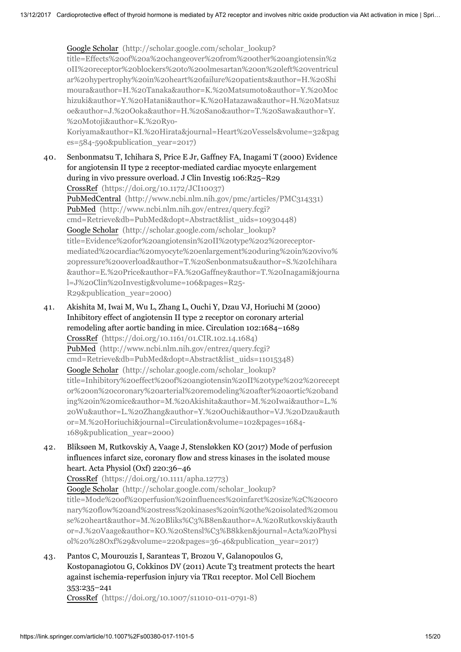Google Scholar (http://scholar.google.com/scholar\_lookup?

title=Effects%20of%20a%20changeover%20from%20other%20angiotensin%2 0II%20receptor%20blockers%20to%20olmesartan%20on%20left%20ventricul ar%20hypertrophy%20in%20heart%20failure%20patients&author=H.%20Shi moura&author=H.%20Tanaka&author=K.%20Matsumoto&author=Y.%20Moc [hizuki&author=Y.%20Hatani&author=K.%20Hatazawa&author=H.%20Matsuz](http://scholar.google.com/scholar_lookup?title=Effects%20of%20a%20changeover%20from%20other%20angiotensin%20II%20receptor%20blockers%20to%20olmesartan%20on%20left%20ventricular%20hypertrophy%20in%20heart%20failure%20patients&author=H.%20Shimoura&author=H.%20Tanaka&author=K.%20Matsumoto&author=Y.%20Mochizuki&author=Y.%20Hatani&author=K.%20Hatazawa&author=H.%20Matsuzoe&author=J.%20Ooka&author=H.%20Sano&author=T.%20Sawa&author=Y.%20Motoji&author=K.%20Ryo-Koriyama&author=KI.%20Hirata&journal=Heart%20Vessels&volume=32&pages=584-590&publication_year=2017) oe&author=J.%20Ooka&author=H.%20Sano&author=T.%20Sawa&author=Y. %20Motoji&author=K.%20Ryo-

Koriyama&author=KI.%20Hirata&journal=Heart%20Vessels&volume=32&pag es=584-590&publication\_year=2017)

40. Senbonmatsu T, Ichihara S, Price E Jr, Gaffney FA, Inagami T (2000) Evidence for angiotensin II type 2 receptor-mediated cardiac myocyte enlargement during in vivo pressure overload. J Clin Investig 106:R25–R29 CrossRef [\(https://doi.org/10.1172/JCI10037\)](https://doi.org/10.1172/JCI10037) PubMedCentral [\(http://www.ncbi.nlm.nih.gov/pmc/articles/PMC314331\)](http://www.ncbi.nlm.nih.gov/pmc/articles/PMC314331) PubMed (http://www.ncbi.nlm.nih.gov/entrez/query.fcgi? [cmd=Retrieve&db=PubMed&dopt=Abstract&list\\_uids=10930448\)](http://www.ncbi.nlm.nih.gov/entrez/query.fcgi?cmd=Retrieve&db=PubMed&dopt=Abstract&list_uids=10930448) Google Scholar (http://scholar.google.com/scholar\_lookup? title=Evidence%20for%20angiotensin%20II%20type%202%20receptormediated%20cardiac%20myocyte%20enlargement%20during%20in%20vivo% 20pressure%20overload&author=T.%20Senbonmatsu&author=S.%20Ichihara [&author=E.%20Price&author=FA.%20Gaffney&author=T.%20Inagami&journa](http://scholar.google.com/scholar_lookup?title=Evidence%20for%20angiotensin%20II%20type%202%20receptor-mediated%20cardiac%20myocyte%20enlargement%20during%20in%20vivo%20pressure%20overload&author=T.%20Senbonmatsu&author=S.%20Ichihara&author=E.%20Price&author=FA.%20Gaffney&author=T.%20Inagami&journal=J%20Clin%20Investig&volume=106&pages=R25-R29&publication_year=2000) l=J%20Clin%20Investig&volume=106&pages=R25- R29&publication\_year=2000)

- 41. Akishita M, Iwai M, Wu L, Zhang L, Ouchi Y, Dzau VJ, Horiuchi M (2000) Inhibitory effect of angiotensin II type 2 receptor on coronary arterial remodeling after aortic banding in mice. Circulation 102:1684–1689 CrossRef [\(https://doi.org/10.1161/01.CIR.102.14.1684\)](https://doi.org/10.1161/01.CIR.102.14.1684) PubMed (http://www.ncbi.nlm.nih.gov/entrez/query.fcgi? [cmd=Retrieve&db=PubMed&dopt=Abstract&list\\_uids=11015348\)](http://www.ncbi.nlm.nih.gov/entrez/query.fcgi?cmd=Retrieve&db=PubMed&dopt=Abstract&list_uids=11015348) Google Scholar (http://scholar.google.com/scholar\_lookup? title=Inhibitory%20effect%20of%20angiotensin%20II%20type%202%20recept or%20on%20coronary%20arterial%20remodeling%20after%20aortic%20band ing%20in%20mice&author=M.%20Akishita&author=M.%20Iwai&author=L.% [20Wu&author=L.%20Zhang&author=Y.%20Ouchi&author=VJ.%20Dzau&auth](http://scholar.google.com/scholar_lookup?title=Inhibitory%20effect%20of%20angiotensin%20II%20type%202%20receptor%20on%20coronary%20arterial%20remodeling%20after%20aortic%20banding%20in%20mice&author=M.%20Akishita&author=M.%20Iwai&author=L.%20Wu&author=L.%20Zhang&author=Y.%20Ouchi&author=VJ.%20Dzau&author=M.%20Horiuchi&journal=Circulation&volume=102&pages=1684-1689&publication_year=2000) or=M.%20Horiuchi&journal=Circulation&volume=102&pages=1684- 1689&publication\_year=2000)
- 42. Bliksøen M, Rutkovskiy A, Vaage J, Stensløkken KO (2017) Mode of perfusion influences infarct size, coronary flow and stress kinases in the isolated mouse heart. Acta Physiol (Oxf) 220:36–46

CrossRef [\(https://doi.org/10.1111/apha.12773\)](https://doi.org/10.1111/apha.12773)

Google Scholar (http://scholar.google.com/scholar\_lookup? title=Mode%20of%20perfusion%20influences%20infarct%20size%2C%20coro [nary%20flow%20and%20stress%20kinases%20in%20the%20isolated%20mou](http://scholar.google.com/scholar_lookup?title=Mode%20of%20perfusion%20influences%20infarct%20size%2C%20coronary%20flow%20and%20stress%20kinases%20in%20the%20isolated%20mouse%20heart&author=M.%20Bliks%C3%B8en&author=A.%20Rutkovskiy&author=J.%20Vaage&author=KO.%20Stensl%C3%B8kken&journal=Acta%20Physiol%20%28Oxf%29&volume=220&pages=36-46&publication_year=2017) se%20heart&author=M.%20Bliks%C3%B8en&author=A.%20Rutkovskiy&auth or=J.%20Vaage&author=KO.%20Stensl%C3%B8kken&journal=Acta%20Physi ol%20%28Oxf%29&volume=220&pages=36-46&publication\_year=2017)

43. Pantos C, Mourouzis I, Saranteas T, Brozou V, Galanopoulos G, Kostopanagiotou G, Cokkinos DV (2011) Acute T3 treatment protects the heart against ischemia-reperfusion injury via TRα1 receptor. Mol Cell Biochem 353:235–241 CrossRef [\(https://doi.org/10.1007/s11010-011-0791-8\)](https://doi.org/10.1007/s11010-011-0791-8)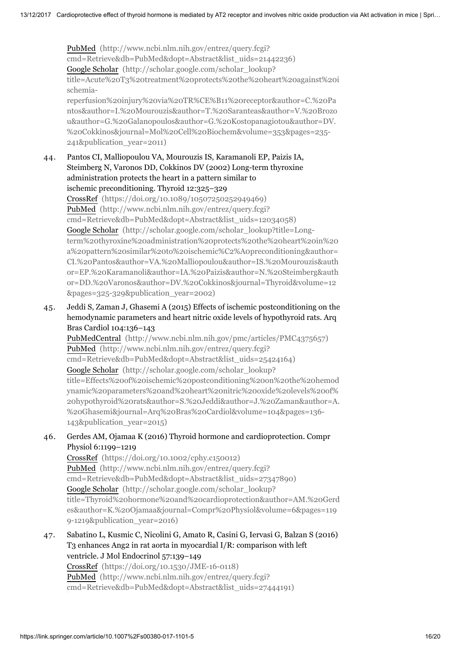PubMed (http://www.ncbi.nlm.nih.gov/entrez/query.fcgi? [cmd=Retrieve&db=PubMed&dopt=Abstract&list\\_uids=21442236\)](http://www.ncbi.nlm.nih.gov/entrez/query.fcgi?cmd=Retrieve&db=PubMed&dopt=Abstract&list_uids=21442236) Google Scholar (http://scholar.google.com/scholar\_lookup? [title=Acute%20T3%20treatment%20protects%20the%20heart%20against%20i](http://scholar.google.com/scholar_lookup?title=Acute%20T3%20treatment%20protects%20the%20heart%20against%20ischemia-reperfusion%20injury%20via%20TR%CE%B11%20receptor&author=C.%20Pantos&author=I.%20Mourouzis&author=T.%20Saranteas&author=V.%20Brozou&author=G.%20Galanopoulos&author=G.%20Kostopanagiotou&author=DV.%20Cokkinos&journal=Mol%20Cell%20Biochem&volume=353&pages=235-241&publication_year=2011) schemiareperfusion%20injury%20via%20TR%CE%B11%20receptor&author=C.%20Pa

ntos&author=I.%20Mourouzis&author=T.%20Saranteas&author=V.%20Brozo u&author=G.%20Galanopoulos&author=G.%20Kostopanagiotou&author=DV. %20Cokkinos&journal=Mol%20Cell%20Biochem&volume=353&pages=235- 241&publication\_year=2011)

44. Pantos CI, Malliopoulou VA, Mourouzis IS, Karamanoli EP, Paizis IA, Steimberg N, Varonos DD, Cokkinos DV (2002) Long-term thyroxine administration protects the heart in a pattern similar to ischemic preconditioning. Thyroid 12:325–329

CrossRef [\(https://doi.org/10.1089/10507250252949469\)](https://doi.org/10.1089/10507250252949469) PubMed (http://www.ncbi.nlm.nih.gov/entrez/query.fcgi? [cmd=Retrieve&db=PubMed&dopt=Abstract&list\\_uids=12034058\)](http://www.ncbi.nlm.nih.gov/entrez/query.fcgi?cmd=Retrieve&db=PubMed&dopt=Abstract&list_uids=12034058) Google Scholar (http://scholar.google.com/scholar\_lookup?title=Longterm%20thyroxine%20administration%20protects%20the%20heart%20in%20 a%20pattern%20similar%20to%20ischemic%C2%A0preconditioning&author= [CI.%20Pantos&author=VA.%20Malliopoulou&author=IS.%20Mourouzis&auth](http://scholar.google.com/scholar_lookup?title=Long-term%20thyroxine%20administration%20protects%20the%20heart%20in%20a%20pattern%20similar%20to%20ischemic%C2%A0preconditioning&author=CI.%20Pantos&author=VA.%20Malliopoulou&author=IS.%20Mourouzis&author=EP.%20Karamanoli&author=IA.%20Paizis&author=N.%20Steimberg&author=DD.%20Varonos&author=DV.%20Cokkinos&journal=Thyroid&volume=12&pages=325-329&publication_year=2002) or=EP.%20Karamanoli&author=IA.%20Paizis&author=N.%20Steimberg&auth or=DD.%20Varonos&author=DV.%20Cokkinos&journal=Thyroid&volume=12 &pages=325-329&publication\_year=2002)

45. Jeddi S, Zaman J, Ghasemi A (2015) Effects of ischemic postconditioning on the hemodynamic parameters and heart nitric oxide levels of hypothyroid rats. Arq Bras Cardiol 104:136–143

PubMedCentral [\(http://www.ncbi.nlm.nih.gov/pmc/articles/PMC4375657\)](http://www.ncbi.nlm.nih.gov/pmc/articles/PMC4375657) PubMed (http://www.ncbi.nlm.nih.gov/entrez/query.fcgi? [cmd=Retrieve&db=PubMed&dopt=Abstract&list\\_uids=25424164\)](http://www.ncbi.nlm.nih.gov/entrez/query.fcgi?cmd=Retrieve&db=PubMed&dopt=Abstract&list_uids=25424164) Google Scholar (http://scholar.google.com/scholar\_lookup? title=Effects%20of%20ischemic%20postconditioning%20on%20the%20hemod ynamic%20parameters%20and%20heart%20nitric%20oxide%20levels%20of% [20hypothyroid%20rats&author=S.%20Jeddi&author=J.%20Zaman&author=A.](http://scholar.google.com/scholar_lookup?title=Effects%20of%20ischemic%20postconditioning%20on%20the%20hemodynamic%20parameters%20and%20heart%20nitric%20oxide%20levels%20of%20hypothyroid%20rats&author=S.%20Jeddi&author=J.%20Zaman&author=A.%20Ghasemi&journal=Arq%20Bras%20Cardiol&volume=104&pages=136-143&publication_year=2015) %20Ghasemi&journal=Arq%20Bras%20Cardiol&volume=104&pages=136- 143&publication\_year=2015)

46. Gerdes AM, Ojamaa K (2016) Thyroid hormone and cardioprotection. Compr Physiol 6:1199–1219

CrossRef [\(https://doi.org/10.1002/cphy.c150012\)](https://doi.org/10.1002/cphy.c150012) PubMed (http://www.ncbi.nlm.nih.gov/entrez/query.fcgi? [cmd=Retrieve&db=PubMed&dopt=Abstract&list\\_uids=27347890\)](http://www.ncbi.nlm.nih.gov/entrez/query.fcgi?cmd=Retrieve&db=PubMed&dopt=Abstract&list_uids=27347890) Google Scholar (http://scholar.google.com/scholar\_lookup? [title=Thyroid%20hormone%20and%20cardioprotection&author=AM.%20Gerd](http://scholar.google.com/scholar_lookup?title=Thyroid%20hormone%20and%20cardioprotection&author=AM.%20Gerdes&author=K.%20Ojamaa&journal=Compr%20Physiol&volume=6&pages=1199-1219&publication_year=2016) es&author=K.%20Ojamaa&journal=Compr%20Physiol&volume=6&pages=119 9-1219&publication\_year=2016)

47. Sabatino L, Kusmic C, Nicolini G, Amato R, Casini G, Iervasi G, Balzan S (2016) T3 enhances Ang2 in rat aorta in myocardial I/R: comparison with left ventricle. J Mol Endocrinol 57:139–149

CrossRef [\(https://doi.org/10.1530/JME-16-0118\)](https://doi.org/10.1530/JME-16-0118) PubMed (http://www.ncbi.nlm.nih.gov/entrez/query.fcgi? [cmd=Retrieve&db=PubMed&dopt=Abstract&list\\_uids=27444191\)](http://www.ncbi.nlm.nih.gov/entrez/query.fcgi?cmd=Retrieve&db=PubMed&dopt=Abstract&list_uids=27444191)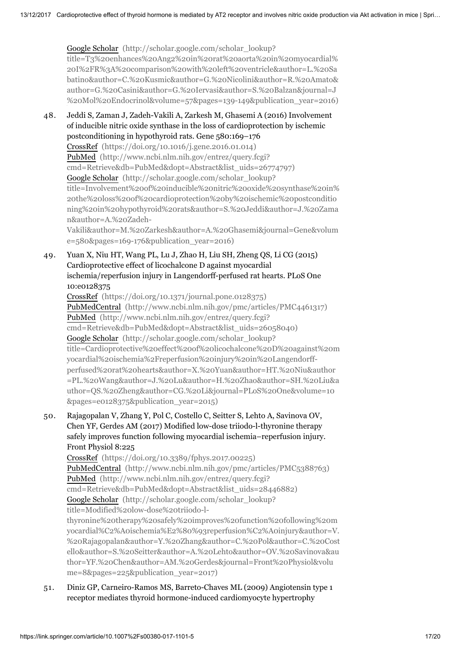Google Scholar (http://scholar.google.com/scholar\_lookup? title=T3%20enhances%20Ang2%20in%20rat%20aorta%20in%20myocardial% 20I%2FR%3A%20comparison%20with%20left%20ventricle&author=L.%20Sa [batino&author=C.%20Kusmic&author=G.%20Nicolini&author=R.%20Amato&](http://scholar.google.com/scholar_lookup?title=T3%20enhances%20Ang2%20in%20rat%20aorta%20in%20myocardial%20I%2FR%3A%20comparison%20with%20left%20ventricle&author=L.%20Sabatino&author=C.%20Kusmic&author=G.%20Nicolini&author=R.%20Amato&author=G.%20Casini&author=G.%20Iervasi&author=S.%20Balzan&journal=J%20Mol%20Endocrinol&volume=57&pages=139-149&publication_year=2016) author=G.%20Casini&author=G.%20Iervasi&author=S.%20Balzan&journal=J %20Mol%20Endocrinol&volume=57&pages=139-149&publication\_year=2016)

48. Jeddi S, Zaman J, Zadeh-Vakili A, Zarkesh M, Ghasemi A (2016) Involvement of inducible nitric oxide synthase in the loss of cardioprotection by ischemic postconditioning in hypothyroid rats. Gene 580:169–176 CrossRef [\(https://doi.org/10.1016/j.gene.2016.01.014\)](https://doi.org/10.1016/j.gene.2016.01.014) PubMed (http://www.ncbi.nlm.nih.gov/entrez/query.fcgi? [cmd=Retrieve&db=PubMed&dopt=Abstract&list\\_uids=26774797\)](http://www.ncbi.nlm.nih.gov/entrez/query.fcgi?cmd=Retrieve&db=PubMed&dopt=Abstract&list_uids=26774797) Google Scholar (http://scholar.google.com/scholar\_lookup? [title=Involvement%20of%20inducible%20nitric%20oxide%20synthase%20in%](http://scholar.google.com/scholar_lookup?title=Involvement%20of%20inducible%20nitric%20oxide%20synthase%20in%20the%20loss%20of%20cardioprotection%20by%20ischemic%20postconditioning%20in%20hypothyroid%20rats&author=S.%20Jeddi&author=J.%20Zaman&author=A.%20Zadeh-Vakili&author=M.%20Zarkesh&author=A.%20Ghasemi&journal=Gene&volume=580&pages=169-176&publication_year=2016) 20the%20loss%20of%20cardioprotection%20by%20ischemic%20postconditio ning%20in%20hypothyroid%20rats&author=S.%20Jeddi&author=J.%20Zama n&author=A.%20Zadeh-Vakili&author=M.%20Zarkesh&author=A.%20Ghasemi&journal=Gene&volum

e=580&pages=169-176&publication\_year=2016)

49. Yuan X, Niu HT, Wang PL, Lu J, Zhao H, Liu SH, Zheng QS, Li CG (2015) Cardioprotective effect of licochalcone D against myocardial ischemia/reperfusion injury in Langendorff-perfused rat hearts. PLoS One 10:e0128375

CrossRef [\(https://doi.org/10.1371/journal.pone.0128375\)](https://doi.org/10.1371/journal.pone.0128375) PubMedCentral [\(http://www.ncbi.nlm.nih.gov/pmc/articles/PMC4461317\)](http://www.ncbi.nlm.nih.gov/pmc/articles/PMC4461317) PubMed (http://www.ncbi.nlm.nih.gov/entrez/query.fcgi? [cmd=Retrieve&db=PubMed&dopt=Abstract&list\\_uids=26058040\)](http://www.ncbi.nlm.nih.gov/entrez/query.fcgi?cmd=Retrieve&db=PubMed&dopt=Abstract&list_uids=26058040) Google Scholar (http://scholar.google.com/scholar\_lookup? [title=Cardioprotective%20effect%20of%20licochalcone%20D%20against%20m](http://scholar.google.com/scholar_lookup?title=Cardioprotective%20effect%20of%20licochalcone%20D%20against%20myocardial%20ischemia%2Freperfusion%20injury%20in%20Langendorff-perfused%20rat%20hearts&author=X.%20Yuan&author=HT.%20Niu&author=PL.%20Wang&author=J.%20Lu&author=H.%20Zhao&author=SH.%20Liu&author=QS.%20Zheng&author=CG.%20Li&journal=PLoS%20One&volume=10&pages=e0128375&publication_year=2015) yocardial%20ischemia%2Freperfusion%20injury%20in%20Langendorffperfused%20rat%20hearts&author=X.%20Yuan&author=HT.%20Niu&author =PL.%20Wang&author=J.%20Lu&author=H.%20Zhao&author=SH.%20Liu&a uthor=QS.%20Zheng&author=CG.%20Li&journal=PLoS%20One&volume=10 &pages=e0128375&publication\_year=2015)

50. Rajagopalan V, Zhang Y, Pol C, Costello C, Seitter S, Lehto A, Savinova OV, Chen YF, Gerdes AM (2017) Modified low-dose triiodo-l-thyronine therapy safely improves function following myocardial ischemia–reperfusion injury. Front Physiol 8:225

CrossRef [\(https://doi.org/10.3389/fphys.2017.00225\)](https://doi.org/10.3389/fphys.2017.00225) PubMedCentral [\(http://www.ncbi.nlm.nih.gov/pmc/articles/PMC5388763\)](http://www.ncbi.nlm.nih.gov/pmc/articles/PMC5388763) PubMed (http://www.ncbi.nlm.nih.gov/entrez/query.fcgi? [cmd=Retrieve&db=PubMed&dopt=Abstract&list\\_uids=28446882\)](http://www.ncbi.nlm.nih.gov/entrez/query.fcgi?cmd=Retrieve&db=PubMed&dopt=Abstract&list_uids=28446882) Google Scholar (http://scholar.google.com/scholar\_lookup? title=Modified%20low-dose%20triiodo-lthyronine%20therapy%20safely%20improves%20function%20following%20m yocardial%C2%A0ischemia%E2%80%93reperfusion%C2%A0injury&author=V. [%20Rajagopalan&author=Y.%20Zhang&author=C.%20Pol&author=C.%20Cost](http://scholar.google.com/scholar_lookup?title=Modified%20low-dose%20triiodo-l-thyronine%20therapy%20safely%20improves%20function%20following%20myocardial%C2%A0ischemia%E2%80%93reperfusion%C2%A0injury&author=V.%20Rajagopalan&author=Y.%20Zhang&author=C.%20Pol&author=C.%20Costello&author=S.%20Seitter&author=A.%20Lehto&author=OV.%20Savinova&author=YF.%20Chen&author=AM.%20Gerdes&journal=Front%20Physiol&volume=8&pages=225&publication_year=2017) ello&author=S.%20Seitter&author=A.%20Lehto&author=OV.%20Savinova&au thor=YF.%20Chen&author=AM.%20Gerdes&journal=Front%20Physiol&volu me=8&pages=225&publication\_year=2017)

51. Diniz GP, Carneiro-Ramos MS, Barreto-Chaves ML (2009) Angiotensin type 1 receptor mediates thyroid hormone-induced cardiomyocyte hypertrophy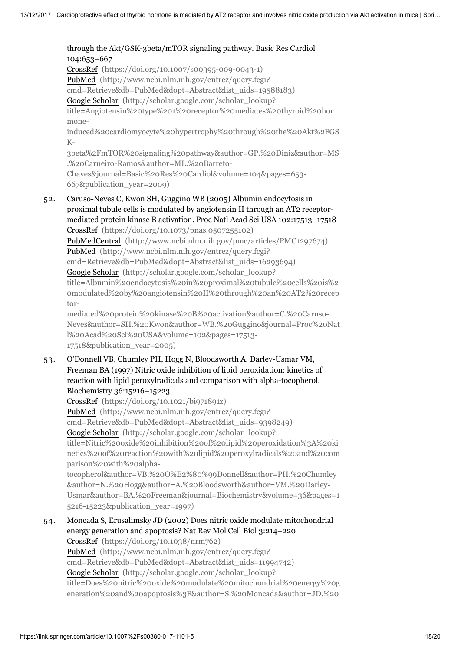#### through the Akt/GSK-3beta/mTOR signaling pathway. Basic Res Cardiol 104:653–667 CrossRef [\(https://doi.org/10.1007/s00395-009-0043-1\)](https://doi.org/10.1007/s00395-009-0043-1) PubMed (http://www.ncbi.nlm.nih.gov/entrez/query.fcgi? [cmd=Retrieve&db=PubMed&dopt=Abstract&list\\_uids=19588183\)](http://www.ncbi.nlm.nih.gov/entrez/query.fcgi?cmd=Retrieve&db=PubMed&dopt=Abstract&list_uids=19588183) Google Scholar (http://scholar.google.com/scholar\_lookup? title=Angiotensin%20type%201%20receptor%20mediates%20thyroid%20hor mone-

[induced%20cardiomyocyte%20hypertrophy%20through%20the%20Akt%2FGS](http://scholar.google.com/scholar_lookup?title=Angiotensin%20type%201%20receptor%20mediates%20thyroid%20hormone-induced%20cardiomyocyte%20hypertrophy%20through%20the%20Akt%2FGSK-3beta%2FmTOR%20signaling%20pathway&author=GP.%20Diniz&author=MS.%20Carneiro-Ramos&author=ML.%20Barreto-Chaves&journal=Basic%20Res%20Cardiol&volume=104&pages=653-667&publication_year=2009) K-

3beta%2FmTOR%20signaling%20pathway&author=GP.%20Diniz&author=MS .%20Carneiro-Ramos&author=ML.%20Barreto-Chaves&journal=Basic%20Res%20Cardiol&volume=104&pages=653-

667&publication\_year=2009)

52. Caruso-Neves C, Kwon SH, Guggino WB (2005) Albumin endocytosis in proximal tubule cells is modulated by angiotensin II through an AT2 receptormediated protein kinase B activation. Proc Natl Acad Sci USA 102:17513–17518 CrossRef [\(https://doi.org/10.1073/pnas.0507255102\)](https://doi.org/10.1073/pnas.0507255102) PubMedCentral [\(http://www.ncbi.nlm.nih.gov/pmc/articles/PMC1297674\)](http://www.ncbi.nlm.nih.gov/pmc/articles/PMC1297674) PubMed (http://www.ncbi.nlm.nih.gov/entrez/query.fcgi?

[cmd=Retrieve&db=PubMed&dopt=Abstract&list\\_uids=16293694\)](http://www.ncbi.nlm.nih.gov/entrez/query.fcgi?cmd=Retrieve&db=PubMed&dopt=Abstract&list_uids=16293694)

Google Scholar (http://scholar.google.com/scholar\_lookup?

title=Albumin%20endocytosis%20in%20proximal%20tubule%20cells%20is%2 0modulated%20by%20angiotensin%20II%20through%20an%20AT2%20recep tor-

mediated%20protein%20kinase%20B%20activation&author=C.%20Caruso-[Neves&author=SH.%20Kwon&author=WB.%20Guggino&journal=Proc%20Nat](http://scholar.google.com/scholar_lookup?title=Albumin%20endocytosis%20in%20proximal%20tubule%20cells%20is%20modulated%20by%20angiotensin%20II%20through%20an%20AT2%20receptor-mediated%20protein%20kinase%20B%20activation&author=C.%20Caruso-Neves&author=SH.%20Kwon&author=WB.%20Guggino&journal=Proc%20Natl%20Acad%20Sci%20USA&volume=102&pages=17513-17518&publication_year=2005) l%20Acad%20Sci%20USA&volume=102&pages=17513- 17518&publication\_year=2005)

53. O'Donnell VB, Chumley PH, Hogg N, Bloodsworth A, Darley-Usmar VM, Freeman BA (1997) Nitric oxide inhibition of lipid peroxidation: kinetics of reaction with lipid peroxylradicals and comparison with alpha-tocopherol. Biochemistry 36:15216–15223

CrossRef [\(https://doi.org/10.1021/bi971891z\)](https://doi.org/10.1021/bi971891z) PubMed (http://www.ncbi.nlm.nih.gov/entrez/query.fcgi? [cmd=Retrieve&db=PubMed&dopt=Abstract&list\\_uids=9398249\)](http://www.ncbi.nlm.nih.gov/entrez/query.fcgi?cmd=Retrieve&db=PubMed&dopt=Abstract&list_uids=9398249) Google Scholar (http://scholar.google.com/scholar\_lookup? title=Nitric%20oxide%20inhibition%20of%20lipid%20peroxidation%3A%20ki [netics%20of%20reaction%20with%20lipid%20peroxylradicals%20and%20com](http://scholar.google.com/scholar_lookup?title=Nitric%20oxide%20inhibition%20of%20lipid%20peroxidation%3A%20kinetics%20of%20reaction%20with%20lipid%20peroxylradicals%20and%20comparison%20with%20alpha-tocopherol&author=VB.%20O%E2%80%99Donnell&author=PH.%20Chumley&author=N.%20Hogg&author=A.%20Bloodsworth&author=VM.%20Darley-Usmar&author=BA.%20Freeman&journal=Biochemistry&volume=36&pages=15216-15223&publication_year=1997) parison%20with%20alphatocopherol&author=VB.%20O%E2%80%99Donnell&author=PH.%20Chumley &author=N.%20Hogg&author=A.%20Bloodsworth&author=VM.%20Darley-

Usmar&author=BA.%20Freeman&journal=Biochemistry&volume=36&pages=1 5216-15223&publication\_year=1997)

54. Moncada S, Erusalimsky JD (2002) Does nitric oxide modulate mitochondrial energy generation and apoptosis? Nat Rev Mol Cell Biol 3:214–220 CrossRef [\(https://doi.org/10.1038/nrm762\)](https://doi.org/10.1038/nrm762) PubMed (http://www.ncbi.nlm.nih.gov/entrez/query.fcgi? [cmd=Retrieve&db=PubMed&dopt=Abstract&list\\_uids=11994742\)](http://www.ncbi.nlm.nih.gov/entrez/query.fcgi?cmd=Retrieve&db=PubMed&dopt=Abstract&list_uids=11994742) Google Scholar (http://scholar.google.com/scholar\_lookup? [title=Does%20nitric%20oxide%20modulate%20mitochondrial%20energy%20g](http://scholar.google.com/scholar_lookup?title=Does%20nitric%20oxide%20modulate%20mitochondrial%20energy%20generation%20and%20apoptosis%3F&author=S.%20Moncada&author=JD.%20Erusalimsky&journal=Nat%20Rev%20Mol%20Cell%20Biol&volume=3&pages=214-220&publication_year=2002) eneration%20and%20apoptosis%3F&author=S.%20Moncada&author=JD.%20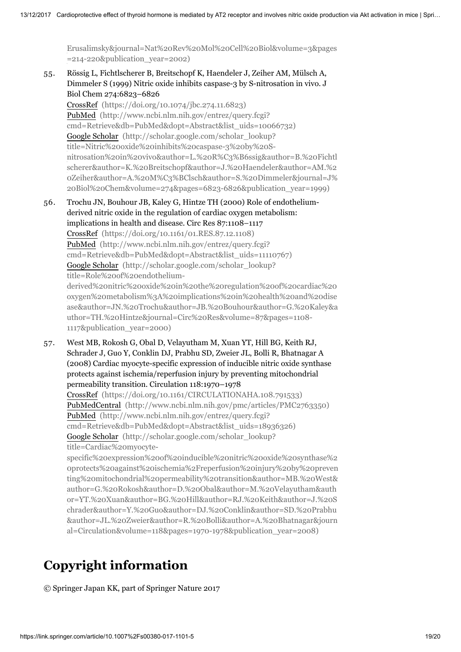[Erusalimsky&journal=Nat%20Rev%20Mol%20Cell%20Biol&volume=3&pages](http://scholar.google.com/scholar_lookup?title=Does%20nitric%20oxide%20modulate%20mitochondrial%20energy%20generation%20and%20apoptosis%3F&author=S.%20Moncada&author=JD.%20Erusalimsky&journal=Nat%20Rev%20Mol%20Cell%20Biol&volume=3&pages=214-220&publication_year=2002) =214-220&publication\_year=2002)

55. Rössig L, Fichtlscherer B, Breitschopf K, Haendeler J, Zeiher AM, Mülsch A, Dimmeler S (1999) Nitric oxide inhibits caspase-3 by S-nitrosation in vivo. J Biol Chem 274:6823–6826

CrossRef [\(https://doi.org/10.1074/jbc.274.11.6823\)](https://doi.org/10.1074/jbc.274.11.6823) PubMed (http://www.ncbi.nlm.nih.gov/entrez/query.fcgi? [cmd=Retrieve&db=PubMed&dopt=Abstract&list\\_uids=10066732\)](http://www.ncbi.nlm.nih.gov/entrez/query.fcgi?cmd=Retrieve&db=PubMed&dopt=Abstract&list_uids=10066732) Google Scholar (http://scholar.google.com/scholar\_lookup? title=Nitric%20oxide%20inhibits%20caspase-3%20by%20Snitrosation%20in%20vivo&author=L.%20R%C3%B6ssig&author=B.%20Fichtl scherer&author=K.%20Breitschopf&author=J.%20Haendeler&author=AM.%2 [0Zeiher&author=A.%20M%C3%BClsch&author=S.%20Dimmeler&journal=J%](http://scholar.google.com/scholar_lookup?title=Nitric%20oxide%20inhibits%20caspase-3%20by%20S-nitrosation%20in%20vivo&author=L.%20R%C3%B6ssig&author=B.%20Fichtlscherer&author=K.%20Breitschopf&author=J.%20Haendeler&author=AM.%20Zeiher&author=A.%20M%C3%BClsch&author=S.%20Dimmeler&journal=J%20Biol%20Chem&volume=274&pages=6823-6826&publication_year=1999) 20Biol%20Chem&volume=274&pages=6823-6826&publication\_year=1999)

- 56. Trochu JN, Bouhour JB, Kaley G, Hintze TH (2000) Role of endotheliumderived nitric oxide in the regulation of cardiac oxygen metabolism: implications in health and disease. Circ Res 87:1108–1117 CrossRef [\(https://doi.org/10.1161/01.RES.87.12.1108\)](https://doi.org/10.1161/01.RES.87.12.1108) PubMed (http://www.ncbi.nlm.nih.gov/entrez/query.fcgi? [cmd=Retrieve&db=PubMed&dopt=Abstract&list\\_uids=11110767\)](http://www.ncbi.nlm.nih.gov/entrez/query.fcgi?cmd=Retrieve&db=PubMed&dopt=Abstract&list_uids=11110767) Google Scholar (http://scholar.google.com/scholar\_lookup? title=Role%20of%20endotheliumderived%20nitric%20oxide%20in%20the%20regulation%20of%20cardiac%20 oxygen%20metabolism%3A%20implications%20in%20health%20and%20dise [ase&author=JN.%20Trochu&author=JB.%20Bouhour&author=G.%20Kaley&a](http://scholar.google.com/scholar_lookup?title=Role%20of%20endothelium-derived%20nitric%20oxide%20in%20the%20regulation%20of%20cardiac%20oxygen%20metabolism%3A%20implications%20in%20health%20and%20disease&author=JN.%20Trochu&author=JB.%20Bouhour&author=G.%20Kaley&author=TH.%20Hintze&journal=Circ%20Res&volume=87&pages=1108-1117&publication_year=2000) uthor=TH.%20Hintze&journal=Circ%20Res&volume=87&pages=1108- 1117&publication\_year=2000)
- 57. West MB, Rokosh G, Obal D, Velayutham M, Xuan YT, Hill BG, Keith RJ, Schrader J, Guo Y, Conklin DJ, Prabhu SD, Zweier JL, Bolli R, Bhatnagar A (2008) Cardiac myocyte-specific expression of inducible nitric oxide synthase protects against ischemia/reperfusion injury by preventing mitochondrial permeability transition. Circulation 118:1970–1978 CrossRef [\(https://doi.org/10.1161/CIRCULATIONAHA.108.791533\)](https://doi.org/10.1161/CIRCULATIONAHA.108.791533) PubMedCentral [\(http://www.ncbi.nlm.nih.gov/pmc/articles/PMC2763350\)](http://www.ncbi.nlm.nih.gov/pmc/articles/PMC2763350) PubMed (http://www.ncbi.nlm.nih.gov/entrez/query.fcgi? [cmd=Retrieve&db=PubMed&dopt=Abstract&list\\_uids=18936326\)](http://www.ncbi.nlm.nih.gov/entrez/query.fcgi?cmd=Retrieve&db=PubMed&dopt=Abstract&list_uids=18936326) Google Scholar (http://scholar.google.com/scholar\_lookup? title=Cardiac%20myocytespecific%20expression%20of%20inducible%20nitric%20oxide%20synthase%2

[0protects%20against%20ischemia%2Freperfusion%20injury%20by%20preven](http://scholar.google.com/scholar_lookup?title=Cardiac%20myocyte-specific%20expression%20of%20inducible%20nitric%20oxide%20synthase%20protects%20against%20ischemia%2Freperfusion%20injury%20by%20preventing%20mitochondrial%20permeability%20transition&author=MB.%20West&author=G.%20Rokosh&author=D.%20Obal&author=M.%20Velayutham&author=YT.%20Xuan&author=BG.%20Hill&author=RJ.%20Keith&author=J.%20Schrader&author=Y.%20Guo&author=DJ.%20Conklin&author=SD.%20Prabhu&author=JL.%20Zweier&author=R.%20Bolli&author=A.%20Bhatnagar&journal=Circulation&volume=118&pages=1970-1978&publication_year=2008) ting%20mitochondrial%20permeability%20transition&author=MB.%20West& author=G.%20Rokosh&author=D.%20Obal&author=M.%20Velayutham&auth or=YT.%20Xuan&author=BG.%20Hill&author=RJ.%20Keith&author=J.%20S chrader&author=Y.%20Guo&author=DJ.%20Conklin&author=SD.%20Prabhu &author=JL.%20Zweier&author=R.%20Bolli&author=A.%20Bhatnagar&journ al=Circulation&volume=118&pages=1970-1978&publication\_year=2008)

# Copyright information

© Springer Japan KK, part of Springer Nature 2017